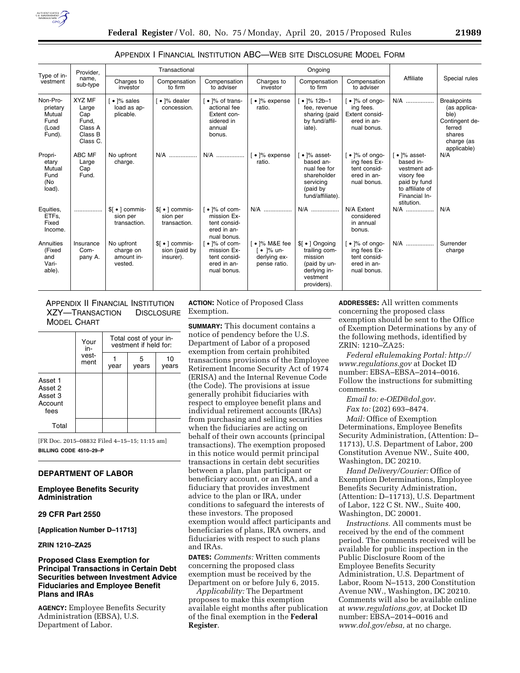

## APPENDIX I FINANCIAL INSTITUTION ABC—WEB SITE DISCLOSURE MODEL FORM

| Type of in-<br>vestment                                   | Provider,<br>name.<br>sub-type                                           | Transactional                                             |                                                         |                                                                                              | Ongoing                                                      |                                                                                                                         |                                                                                                 |                                                                                                                                               |                                                                                                               |
|-----------------------------------------------------------|--------------------------------------------------------------------------|-----------------------------------------------------------|---------------------------------------------------------|----------------------------------------------------------------------------------------------|--------------------------------------------------------------|-------------------------------------------------------------------------------------------------------------------------|-------------------------------------------------------------------------------------------------|-----------------------------------------------------------------------------------------------------------------------------------------------|---------------------------------------------------------------------------------------------------------------|
|                                                           |                                                                          | Charges to<br>investor                                    | Compensation<br>to firm                                 | Compensation<br>to adviser                                                                   | Charges to<br>investor                                       | Compensation<br>to firm                                                                                                 | Compensation<br>to adviser                                                                      | Affiliate                                                                                                                                     | Special rules                                                                                                 |
| Non-Pro-<br>prietary<br>Mutual<br>Fund<br>(Load<br>Fund). | <b>XYZ MF</b><br>Large<br>Cap<br>Fund,<br>Class A<br>Class B<br>Class C. | $\bullet$ $\frac{1}{6}$ sales<br>load as ap-<br>plicable. | $\bullet$ $\frac{1}{6}$ dealer<br>concession.           | • 1% of trans-<br>actional fee<br>Extent con-<br>sidered in<br>annual<br>bonus.              | $\bullet$ $\frac{1}{6}$ expense<br>ratio.                    | $\cdot$  % 12b-1<br>fee, revenue<br>sharing (paid<br>by fund/affil-<br>iate).                                           | $\lceil \bullet \rceil\%$ of ongo-<br>ing fees.<br>Extent consid-<br>ered in an-<br>nual bonus. | N/A                                                                                                                                           | <b>Breakpoints</b><br>(as applica-<br>ble)<br>Contingent de-<br>ferred<br>shares<br>charge (as<br>applicable) |
| Propri-<br>etary<br>Mutual<br>Fund<br>(No<br>load).       | ABC MF<br>Large<br>Cap<br>Fund.                                          | No upfront<br>charge.                                     | N/A                                                     | N/A                                                                                          | · 1% expense<br>ratio.                                       | $\bullet$ $\frac{1}{6}$ asset-<br>based an-<br>nual fee for<br>shareholder<br>servicing<br>(paid by<br>fund/affiliate). | $\cdot$ $\frac{1}{6}$ of ongo-<br>ing fees Ex-<br>tent consid-<br>ered in an-<br>nual bonus.    | $\lceil \bullet \rceil\%$ asset-<br>based in-<br>vestment ad-<br>visory fee<br>paid by fund<br>to affiliate of<br>Financial In-<br>stitution. | N/A                                                                                                           |
| Equities,<br>ETFs.<br>Fixed<br>Income.                    |                                                                          | \$[ • ] commis-<br>sion per<br>transaction.               | $\mathsf{S}$ • 1 commis-<br>sion per<br>transaction.    | $\bullet$ $\frac{1}{6}$ of com-<br>mission Ex-<br>tent consid-<br>ered in an-<br>nual bonus. | N/A                                                          | N/A                                                                                                                     | N/A Extent<br>considered<br>in annual<br>bonus.                                                 | N/A                                                                                                                                           | N/A                                                                                                           |
| Annuities<br>(Fixed<br>and<br>Vari-<br>able).             | Insurance<br>Com-<br>pany A.                                             | No upfront<br>charge on<br>amount in-<br>vested.          | $\frac{1}{2}$ •   commis-<br>sion (paid by<br>insurer). | $\bullet$ ]% of com-<br>mission Ex-<br>tent consid-<br>ered in an-<br>nual bonus.            | [ • ]% M&E fee<br>[ • 1% un-<br>derlying ex-<br>pense ratio. | $\frac{1}{2}$ • 1 Ongoing<br>trailing com-<br>mission<br>(paid by un-<br>derlying in-<br>vestment<br>providers).        | $\lceil \cdot \rceil\%$ of ongo-<br>ing fees Ex-<br>tent consid-<br>ered in an-<br>nual bonus.  | N/A                                                                                                                                           | Surrender<br>charge                                                                                           |

APPENDIX II FINANCIAL INSTITUTION XZY—TRANSACTION DISCLOSURE MODEL CHART

|                                                  | Your<br>in-   | Total cost of your in-<br>vestment if held for: |            |             |  |  |  |
|--------------------------------------------------|---------------|-------------------------------------------------|------------|-------------|--|--|--|
|                                                  | vest-<br>ment | year                                            | 5<br>years | 10<br>vears |  |  |  |
| Asset 1<br>Asset 2<br>Asset 3<br>Account<br>fees |               |                                                 |            |             |  |  |  |
| Total                                            |               |                                                 |            |             |  |  |  |

[FR Doc. 2015–08832 Filed 4–15–15; 11:15 am] **BILLING CODE 4510–29–P** 

# **DEPARTMENT OF LABOR**

**Employee Benefits Security Administration** 

**29 CFR Part 2550** 

**[Application Number D–11713]** 

**ZRIN 1210–ZA25** 

# **Proposed Class Exemption for Principal Transactions in Certain Debt Securities between Investment Advice Fiduciaries and Employee Benefit Plans and IRAs**

**AGENCY:** Employee Benefits Security Administration (EBSA), U.S. Department of Labor.

**ACTION:** Notice of Proposed Class Exemption.

**SUMMARY:** This document contains a notice of pendency before the U.S. Department of Labor of a proposed exemption from certain prohibited transactions provisions of the Employee Retirement Income Security Act of 1974 (ERISA) and the Internal Revenue Code (the Code). The provisions at issue generally prohibit fiduciaries with respect to employee benefit plans and individual retirement accounts (IRAs) from purchasing and selling securities when the fiduciaries are acting on behalf of their own accounts (principal transactions). The exemption proposed in this notice would permit principal transactions in certain debt securities between a plan, plan participant or beneficiary account, or an IRA, and a fiduciary that provides investment advice to the plan or IRA, under conditions to safeguard the interests of these investors. The proposed exemption would affect participants and beneficiaries of plans, IRA owners, and fiduciaries with respect to such plans and IRAs.

**DATES:** *Comments:* Written comments concerning the proposed class exemption must be received by the Department on or before July 6, 2015.

*Applicability:* The Department proposes to make this exemption available eight months after publication of the final exemption in the **Federal Register**.

**ADDRESSES:** All written comments concerning the proposed class exemption should be sent to the Office of Exemption Determinations by any of the following methods, identified by ZRIN: 1210–ZA25:

*Federal eRulemaking Portal: [http://](http://www.regulations.gov) [www.regulations.gov](http://www.regulations.gov)* at Docket ID number: EBSA–EBSA–2014–0016. Follow the instructions for submitting comments.

*Email to: [e-OED@dol.gov.](mailto:e-OED@dol.gov)* 

*Fax to:* (202) 693–8474.

*Mail:* Office of Exemption Determinations, Employee Benefits Security Administration, (Attention: D– 11713), U.S. Department of Labor, 200 Constitution Avenue NW., Suite 400, Washington, DC 20210.

*Hand Delivery/Courier:* Office of Exemption Determinations, Employee Benefits Security Administration, (Attention: D–11713), U.S. Department of Labor, 122 C St. NW., Suite 400, Washington, DC 20001.

*Instructions.* All comments must be received by the end of the comment period. The comments received will be available for public inspection in the Public Disclosure Room of the Employee Benefits Security Administration, U.S. Department of Labor, Room N–1513, 200 Constitution Avenue NW., Washington, DC 20210. Comments will also be available online at *[www.regulations.gov,](http://www.regulations.gov)* at Docket ID number: EBSA–2014–0016 and *[www.dol.gov/ebsa,](http://www.dol.gov/ebsa)* at no charge.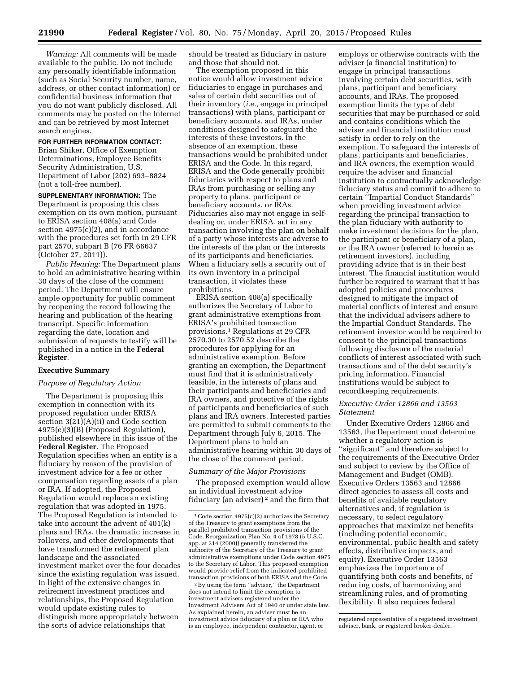*Warning:* All comments will be made available to the public. Do not include any personally identifiable information (such as Social Security number, name, address, or other contact information) or confidential business information that you do not want publicly disclosed. All comments may be posted on the Internet and can be retrieved by most Internet search engines.

# **FOR FURTHER INFORMATION CONTACT:**

Brian Shiker, Office of Exemption Determinations, Employee Benefits Security Administration, U.S. Department of Labor (202) 693–8824 (not a toll-free number).

**SUPPLEMENTARY INFORMATION:** The Department is proposing this class exemption on its own motion, pursuant to ERISA section 408(a) and Code section 4975(c)(2), and in accordance with the procedures set forth in 29 CFR part 2570, subpart B (76 FR 66637 (October 27, 2011)).

*Public Hearing:* The Department plans to hold an administrative hearing within 30 days of the close of the comment period. The Department will ensure ample opportunity for public comment by reopening the record following the hearing and publication of the hearing transcript. Specific information regarding the date, location and submission of requests to testify will be published in a notice in the **Federal Register**.

## **Executive Summary**

### *Purpose of Regulatory Action*

The Department is proposing this exemption in connection with its proposed regulation under ERISA section 3(21)(A)(ii) and Code section 4975(e)(3)(B) (Proposed Regulation), published elsewhere in this issue of the **Federal Register**. The Proposed Regulation specifies when an entity is a fiduciary by reason of the provision of investment advice for a fee or other compensation regarding assets of a plan or IRA. If adopted, the Proposed Regulation would replace an existing regulation that was adopted in 1975. The Proposed Regulation is intended to take into account the advent of 401(k) plans and IRAs, the dramatic increase in rollovers, and other developments that have transformed the retirement plan landscape and the associated investment market over the four decades since the existing regulation was issued. In light of the extensive changes in retirement investment practices and relationships, the Proposed Regulation would update existing rules to distinguish more appropriately between the sorts of advice relationships that

should be treated as fiduciary in nature and those that should not.

The exemption proposed in this notice would allow investment advice fiduciaries to engage in purchases and sales of certain debt securities out of their inventory (*i.e.,* engage in principal transactions) with plans, participant or beneficiary accounts, and IRAs, under conditions designed to safeguard the interests of these investors. In the absence of an exemption, these transactions would be prohibited under ERISA and the Code. In this regard, ERISA and the Code generally prohibit fiduciaries with respect to plans and IRAs from purchasing or selling any property to plans, participant or beneficiary accounts, or IRAs. Fiduciaries also may not engage in selfdealing or, under ERISA, act in any transaction involving the plan on behalf of a party whose interests are adverse to the interests of the plan or the interests of its participants and beneficiaries. When a fiduciary sells a security out of its own inventory in a principal transaction, it violates these prohibitions.

ERISA section 408(a) specifically authorizes the Secretary of Labor to grant administrative exemptions from ERISA's prohibited transaction provisions.1 Regulations at 29 CFR 2570.30 to 2570.52 describe the procedures for applying for an administrative exemption. Before granting an exemption, the Department must find that it is administratively feasible, in the interests of plans and their participants and beneficiaries and IRA owners, and protective of the rights of participants and beneficiaries of such plans and IRA owners. Interested parties are permitted to submit comments to the Department through July 6, 2015. The Department plans to hold an administrative hearing within 30 days of the close of the comment period.

# *Summary of the Major Provisions*

The proposed exemption would allow an individual investment advice fiduciary (an adviser) 2 and the firm that

2By using the term ''adviser,'' the Department does not intend to limit the exemption to investment advisers registered under the Investment Advisers Act of 1940 or under state law. As explained herein, an adviser must be an investment advice fiduciary of a plan or IRA who is an employee, independent contractor, agent, or

employs or otherwise contracts with the adviser (a financial institution) to engage in principal transactions involving certain debt securities, with plans, participant and beneficiary accounts, and IRAs. The proposed exemption limits the type of debt securities that may be purchased or sold and contains conditions which the adviser and financial institution must satisfy in order to rely on the exemption. To safeguard the interests of plans, participants and beneficiaries, and IRA owners, the exemption would require the adviser and financial institution to contractually acknowledge fiduciary status and commit to adhere to certain ''Impartial Conduct Standards'' when providing investment advice regarding the principal transaction to the plan fiduciary with authority to make investment decisions for the plan, the participant or beneficiary of a plan, or the IRA owner (referred to herein as retirement investors), including providing advice that is in their best interest. The financial institution would further be required to warrant that it has adopted policies and procedures designed to mitigate the impact of material conflicts of interest and ensure that the individual advisers adhere to the Impartial Conduct Standards. The retirement investor would be required to consent to the principal transactions following disclosure of the material conflicts of interest associated with such transactions and of the debt security's pricing information. Financial institutions would be subject to recordkeeping requirements.

## *Executive Order 12866 and 13563 Statement*

Under Executive Orders 12866 and 13563, the Department must determine whether a regulatory action is ''significant'' and therefore subject to the requirements of the Executive Order and subject to review by the Office of Management and Budget (OMB). Executive Orders 13563 and 12866 direct agencies to assess all costs and benefits of available regulatory alternatives and, if regulation is necessary, to select regulatory approaches that maximize net benefits (including potential economic, environmental, public health and safety effects, distributive impacts, and equity). Executive Order 13563 emphasizes the importance of quantifying both costs and benefits, of reducing costs, of harmonizing and streamlining rules, and of promoting flexibility. It also requires federal

 $1$ Code section  $4975(c)(2)$  authorizes the Secretary of the Treasury to grant exemptions from the parallel prohibited transaction provisions of the Code. Reorganization Plan No. 4 of 1978 (5 U.S.C. app. at 214 (2000)) generally transferred the authority of the Secretary of the Treasury to grant administrative exemptions under Code section 4975 to the Secretary of Labor. This proposed exemption would provide relief from the indicated prohibited transaction provisions of both ERISA and the Code.

registered representative of a registered investment adviser, bank, or registered broker-dealer.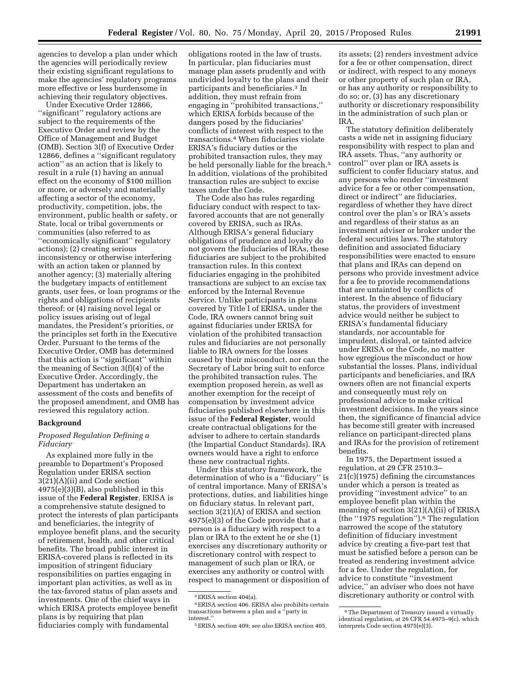agencies to develop a plan under which the agencies will periodically review their existing significant regulations to make the agencies' regulatory programs more effective or less burdensome in achieving their regulatory objectives.

Under Executive Order 12866, ''significant'' regulatory actions are subject to the requirements of the Executive Order and review by the Office of Management and Budget (OMB). Section 3(f) of Executive Order 12866, defines a ''significant regulatory action'' as an action that is likely to result in a rule (1) having an annual effect on the economy of \$100 million or more, or adversely and materially affecting a sector of the economy, productivity, competition, jobs, the environment, public health or safety, or State, local or tribal governments or communities (also referred to as ''economically significant'' regulatory actions); (2) creating serious inconsistency or otherwise interfering with an action taken or planned by another agency; (3) materially altering the budgetary impacts of entitlement grants, user fees, or loan programs or the rights and obligations of recipients thereof; or (4) raising novel legal or policy issues arising out of legal mandates, the President's priorities, or the principles set forth in the Executive Order. Pursuant to the terms of the Executive Order, OMB has determined that this action is ''significant'' within the meaning of Section 3(f)(4) of the Executive Order. Accordingly, the Department has undertaken an assessment of the costs and benefits of the proposed amendment, and OMB has reviewed this regulatory action.

### **Background**

# *Proposed Regulation Defining a Fiduciary*

As explained more fully in the preamble to Department's Proposed Regulation under ERISA section 3(21)(A)(ii) and Code section 4975(e)(3)(B), also published in this issue of the **Federal Register**, ERISA is a comprehensive statute designed to protect the interests of plan participants and beneficiaries, the integrity of employee benefit plans, and the security of retirement, health, and other critical benefits. The broad public interest in ERISA-covered plans is reflected in its imposition of stringent fiduciary responsibilities on parties engaging in important plan activities, as well as in the tax-favored status of plan assets and investments. One of the chief ways in which ERISA protects employee benefit plans is by requiring that plan fiduciaries comply with fundamental

obligations rooted in the law of trusts. In particular, plan fiduciaries must manage plan assets prudently and with undivided loyalty to the plans and their participants and beneficiaries.3 In addition, they must refrain from engaging in ''prohibited transactions,'' which ERISA forbids because of the dangers posed by the fiduciaries' conflicts of interest with respect to the transactions.4 When fiduciaries violate ERISA's fiduciary duties or the prohibited transaction rules, they may be held personally liable for the breach.<sup>5</sup> In addition, violations of the prohibited transaction rules are subject to excise taxes under the Code.

The Code also has rules regarding fiduciary conduct with respect to taxfavored accounts that are not generally covered by ERISA, such as IRAs. Although ERISA's general fiduciary obligations of prudence and loyalty do not govern the fiduciaries of IRAs, these fiduciaries are subject to the prohibited transaction rules. In this context fiduciaries engaging in the prohibited transactions are subject to an excise tax enforced by the Internal Revenue Service. Unlike participants in plans covered by Title I of ERISA, under the Code, IRA owners cannot bring suit against fiduciaries under ERISA for violation of the prohibited transaction rules and fiduciaries are not personally liable to IRA owners for the losses caused by their misconduct, nor can the Secretary of Labor bring suit to enforce the prohibited transaction rules. The exemption proposed herein, as well as another exemption for the receipt of compensation by investment advice fiduciaries published elsewhere in this issue of the **Federal Register**, would create contractual obligations for the adviser to adhere to certain standards (the Impartial Conduct Standards). IRA owners would have a right to enforce these new contractual rights.

Under this statutory framework, the determination of who is a ''fiduciary'' is of central importance. Many of ERISA's protections, duties, and liabilities hinge on fiduciary status. In relevant part, section 3(21)(A) of ERISA and section 4975(e)(3) of the Code provide that a person is a fiduciary with respect to a plan or IRA to the extent he or she (1) exercises any discretionary authority or discretionary control with respect to management of such plan or IRA, or exercises any authority or control with respect to management or disposition of

its assets; (2) renders investment advice for a fee or other compensation, direct or indirect, with respect to any moneys or other property of such plan or IRA, or has any authority or responsibility to do so; or, (3) has any discretionary authority or discretionary responsibility in the administration of such plan or IRA.

The statutory definition deliberately casts a wide net in assigning fiduciary responsibility with respect to plan and IRA assets. Thus, ''any authority or control'' over plan or IRA assets is sufficient to confer fiduciary status, and any persons who render ''investment advice for a fee or other compensation, direct or indirect'' are fiduciaries, regardless of whether they have direct control over the plan's or IRA's assets and regardless of their status as an investment adviser or broker under the federal securities laws. The statutory definition and associated fiduciary responsibilities were enacted to ensure that plans and IRAs can depend on persons who provide investment advice for a fee to provide recommendations that are untainted by conflicts of interest. In the absence of fiduciary status, the providers of investment advice would neither be subject to ERISA's fundamental fiduciary standards, nor accountable for imprudent, disloyal, or tainted advice under ERISA or the Code, no matter how egregious the misconduct or how substantial the losses. Plans, individual participants and beneficiaries, and IRA owners often are not financial experts and consequently must rely on professional advice to make critical investment decisions. In the years since then, the significance of financial advice has become still greater with increased reliance on participant-directed plans and IRAs for the provision of retirement benefits.

In 1975, the Department issued a regulation, at 29 CFR 2510.3– 21(c)(1975) defining the circumstances under which a person is treated as providing ''investment advice'' to an employee benefit plan within the meaning of section 3(21)(A)(ii) of ERISA (the ''1975 regulation'').6 The regulation narrowed the scope of the statutory definition of fiduciary investment advice by creating a five-part test that must be satisfied before a person can be treated as rendering investment advice for a fee. Under the regulation, for advice to constitute ''investment advice,'' an adviser who does not have discretionary authority or control with

<sup>3</sup>ERISA section 404(a).

<sup>4</sup>ERISA section 406. ERISA also prohibits certain transactions between a plan and a ''party in interest.

<sup>5</sup>ERISA section 409; *see also* ERISA section 405.

<sup>&</sup>lt;sup>6</sup>The Department of Treasury issued a virtually identical regulation, at 26 CFR 54.4975–9(c), which interprets Code section 4975(e)(3).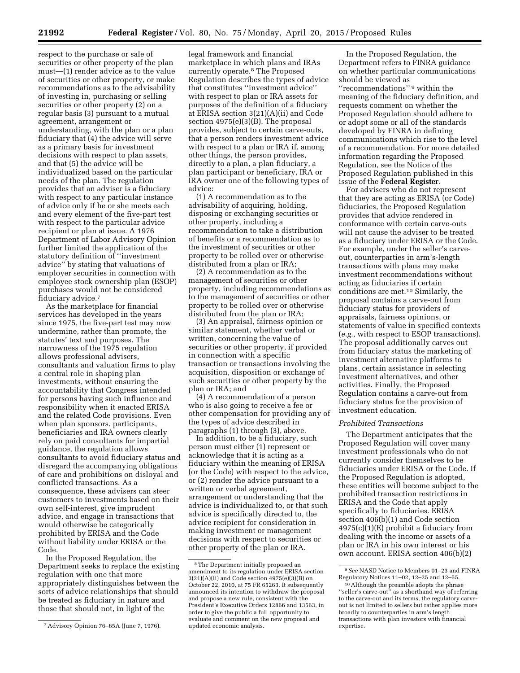respect to the purchase or sale of securities or other property of the plan must—(1) render advice as to the value of securities or other property, or make recommendations as to the advisability of investing in, purchasing or selling securities or other property (2) on a regular basis (3) pursuant to a mutual agreement, arrangement or understanding, with the plan or a plan fiduciary that (4) the advice will serve as a primary basis for investment decisions with respect to plan assets, and that (5) the advice will be individualized based on the particular needs of the plan. The regulation provides that an adviser is a fiduciary with respect to any particular instance of advice only if he or she meets each and every element of the five-part test with respect to the particular advice recipient or plan at issue. A 1976 Department of Labor Advisory Opinion further limited the application of the statutory definition of ''investment advice'' by stating that valuations of employer securities in connection with employee stock ownership plan (ESOP) purchases would not be considered fiduciary advice.7

As the marketplace for financial services has developed in the years since 1975, the five-part test may now undermine, rather than promote, the statutes' text and purposes. The narrowness of the 1975 regulation allows professional advisers, consultants and valuation firms to play a central role in shaping plan investments, without ensuring the accountability that Congress intended for persons having such influence and responsibility when it enacted ERISA and the related Code provisions. Even when plan sponsors, participants, beneficiaries and IRA owners clearly rely on paid consultants for impartial guidance, the regulation allows consultants to avoid fiduciary status and disregard the accompanying obligations of care and prohibitions on disloyal and conflicted transactions. As a consequence, these advisers can steer customers to investments based on their own self-interest, give imprudent advice, and engage in transactions that would otherwise be categorically prohibited by ERISA and the Code without liability under ERISA or the Code.

In the Proposed Regulation, the Department seeks to replace the existing regulation with one that more appropriately distinguishes between the sorts of advice relationships that should be treated as fiduciary in nature and those that should not, in light of the

legal framework and financial marketplace in which plans and IRAs currently operate.8 The Proposed Regulation describes the types of advice that constitutes ''investment advice'' with respect to plan or IRA assets for purposes of the definition of a fiduciary at ERISA section 3(21)(A)(ii) and Code section 4975(e)(3)(B). The proposal provides, subject to certain carve-outs, that a person renders investment advice with respect to a plan or IRA if, among other things, the person provides, directly to a plan, a plan fiduciary, a plan participant or beneficiary, IRA or IRA owner one of the following types of advice:

(1) A recommendation as to the advisability of acquiring, holding, disposing or exchanging securities or other property, including a recommendation to take a distribution of benefits or a recommendation as to the investment of securities or other property to be rolled over or otherwise distributed from a plan or IRA;

(2) A recommendation as to the management of securities or other property, including recommendations as to the management of securities or other property to be rolled over or otherwise distributed from the plan or IRA;

(3) An appraisal, fairness opinion or similar statement, whether verbal or written, concerning the value of securities or other property, if provided in connection with a specific transaction or transactions involving the acquisition, disposition or exchange of such securities or other property by the plan or IRA; and

(4) A recommendation of a person who is also going to receive a fee or other compensation for providing any of the types of advice described in paragraphs (1) through (3), above.

In addition, to be a fiduciary, such person must either (1) represent or acknowledge that it is acting as a fiduciary within the meaning of ERISA (or the Code) with respect to the advice, or (2) render the advice pursuant to a written or verbal agreement, arrangement or understanding that the advice is individualized to, or that such advice is specifically directed to, the advice recipient for consideration in making investment or management decisions with respect to securities or other property of the plan or IRA.

In the Proposed Regulation, the Department refers to FINRA guidance on whether particular communications should be viewed as ''recommendations'' 9 within the meaning of the fiduciary definition, and requests comment on whether the Proposed Regulation should adhere to or adopt some or all of the standards developed by FINRA in defining communications which rise to the level of a recommendation. For more detailed information regarding the Proposed Regulation, see the Notice of the Proposed Regulation published in this issue of the **Federal Register**.

For advisers who do not represent that they are acting as ERISA (or Code) fiduciaries, the Proposed Regulation provides that advice rendered in conformance with certain carve-outs will not cause the adviser to be treated as a fiduciary under ERISA or the Code. For example, under the seller's carveout, counterparties in arm's-length transactions with plans may make investment recommendations without acting as fiduciaries if certain conditions are met.10 Similarly, the proposal contains a carve-out from fiduciary status for providers of appraisals, fairness opinions, or statements of value in specified contexts (*e.g.,* with respect to ESOP transactions). The proposal additionally carves out from fiduciary status the marketing of investment alternative platforms to plans, certain assistance in selecting investment alternatives, and other activities. Finally, the Proposed Regulation contains a carve-out from fiduciary status for the provision of investment education.

#### *Prohibited Transactions*

The Department anticipates that the Proposed Regulation will cover many investment professionals who do not currently consider themselves to be fiduciaries under ERISA or the Code. If the Proposed Regulation is adopted, these entities will become subject to the prohibited transaction restrictions in ERISA and the Code that apply specifically to fiduciaries. ERISA section 406(b)(1) and Code section  $4975(c)(1)(E)$  prohibit a fiduciary from dealing with the income or assets of a plan or IRA in his own interest or his own account. ERISA section 406(b)(2)

<sup>7</sup>Advisory Opinion 76–65A (June 7, 1976).

<sup>8</sup>The Department initially proposed an amendment to its regulation under ERISA section  $3(21)(A)(ii)$  and Code section  $4975(e)(3)(B)$  on October 22, 2010, at 75 FR 65263. It subsequently announced its intention to withdraw the proposal and propose a new rule, consistent with the President's Executive Orders 12866 and 13563, in order to give the public a full opportunity to evaluate and comment on the new proposal and updated economic analysis.

<sup>9</sup>*See* NASD Notice to Members 01–23 and FINRA Regulatory Notices 11–02, 12–25 and 12–55.

<sup>10</sup>Although the preamble adopts the phrase "seller's carve-out" as a shorthand way of referring to the carve-out and its terms, the regulatory carveout is not limited to sellers but rather applies more broadly to counterparties in arm's length transactions with plan investors with financial expertise.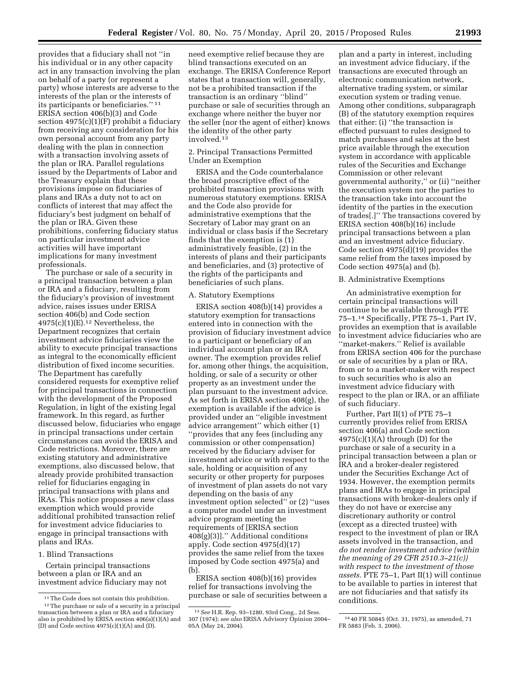provides that a fiduciary shall not ''in his individual or in any other capacity act in any transaction involving the plan on behalf of a party (or represent a party) whose interests are adverse to the interests of the plan or the interests of its participants or beneficiaries.'' 11 ERISA section 406(b)(3) and Code section 4975(c)(1)(F) prohibit a fiduciary from receiving any consideration for his own personal account from any party dealing with the plan in connection with a transaction involving assets of the plan or IRA. Parallel regulations issued by the Departments of Labor and the Treasury explain that these provisions impose on fiduciaries of plans and IRAs a duty not to act on conflicts of interest that may affect the fiduciary's best judgment on behalf of the plan or IRA. Given these prohibitions, conferring fiduciary status on particular investment advice activities will have important implications for many investment professionals.

The purchase or sale of a security in a principal transaction between a plan or IRA and a fiduciary, resulting from the fiduciary's provision of investment advice, raises issues under ERISA section 406(b) and Code section  $4975(c)(1)(E).<sup>12</sup> Nevertheless, the$ Department recognizes that certain investment advice fiduciaries view the ability to execute principal transactions as integral to the economically efficient distribution of fixed income securities. The Department has carefully considered requests for exemptive relief for principal transactions in connection with the development of the Proposed Regulation, in light of the existing legal framework. In this regard, as further discussed below, fiduciaries who engage in principal transactions under certain circumstances can avoid the ERISA and Code restrictions. Moreover, there are existing statutory and administrative exemptions, also discussed below, that already provide prohibited transaction relief for fiduciaries engaging in principal transactions with plans and IRAs. This notice proposes a new class exemption which would provide additional prohibited transaction relief for investment advice fiduciaries to engage in principal transactions with plans and IRAs.

# 1. Blind Transactions

Certain principal transactions between a plan or IRA and an investment advice fiduciary may not

need exemptive relief because they are blind transactions executed on an exchange. The ERISA Conference Report states that a transaction will, generally, not be a prohibited transaction if the transaction is an ordinary ''blind'' purchase or sale of securities through an exchange where neither the buyer nor the seller (nor the agent of either) knows the identity of the other party involved.13

# 2. Principal Transactions Permitted Under an Exemption

ERISA and the Code counterbalance the broad proscriptive effect of the prohibited transaction provisions with numerous statutory exemptions. ERISA and the Code also provide for administrative exemptions that the Secretary of Labor may grant on an individual or class basis if the Secretary finds that the exemption is (1) administratively feasible, (2) in the interests of plans and their participants and beneficiaries, and (3) protective of the rights of the participants and beneficiaries of such plans.

## A. Statutory Exemptions

ERISA section 408(b)(14) provides a statutory exemption for transactions entered into in connection with the provision of fiduciary investment advice to a participant or beneficiary of an individual account plan or an IRA owner. The exemption provides relief for, among other things, the acquisition, holding, or sale of a security or other property as an investment under the plan pursuant to the investment advice. As set forth in ERISA section 408(g), the exemption is available if the advice is provided under an ''eligible investment advice arrangement'' which either (1) ''provides that any fees (including any commission or other compensation) received by the fiduciary adviser for investment advice or with respect to the sale, holding or acquisition of any security or other property for purposes of investment of plan assets do not vary depending on the basis of any investment option selected'' or (2) ''uses a computer model under an investment advice program meeting the requirements of [ERISA section 408(g)(3)].'' Additional conditions apply. Code section 4975(d)(17) provides the same relief from the taxes imposed by Code section 4975(a) and (b).

ERISA section 408(b)(16) provides relief for transactions involving the purchase or sale of securities between a

plan and a party in interest, including an investment advice fiduciary, if the transactions are executed through an electronic communication network, alternative trading system, or similar execution system or trading venue. Among other conditions, subparagraph (B) of the statutory exemption requires that either: (i) ''the transaction is effected pursuant to rules designed to match purchases and sales at the best price available through the execution system in accordance with applicable rules of the Securities and Exchange Commission or other relevant governmental authority,'' or (ii) ''neither the execution system nor the parties to the transaction take into account the identity of the parties in the execution of trades[.]'' The transactions covered by ERISA section 408(b)(16) include principal transactions between a plan and an investment advice fiduciary. Code section 4975(d)(19) provides the same relief from the taxes imposed by Code section 4975(a) and (b).

# B. Administrative Exemptions

An administrative exemption for certain principal transactions will continue to be available through PTE 75–1.14 Specifically, PTE 75–1, Part IV, provides an exemption that is available to investment advice fiduciaries who are ''market-makers.'' Relief is available from ERISA section 406 for the purchase or sale of securities by a plan or IRA, from or to a market-maker with respect to such securities who is also an investment advice fiduciary with respect to the plan or IRA, or an affiliate of such fiduciary.

Further, Part II(1) of PTE 75–1 currently provides relief from ERISA section 406(a) and Code section  $4975(c)(1)(A)$  through (D) for the purchase or sale of a security in a principal transaction between a plan or IRA and a broker-dealer registered under the Securities Exchange Act of 1934. However, the exemption permits plans and IRAs to engage in principal transactions with broker-dealers only if they do not have or exercise any discretionary authority or control (except as a directed trustee) with respect to the investment of plan or IRA assets involved in the transaction, and *do not render investment advice (within the meaning of 29 CFR 2510.3–21(c)) with respect to the investment of those assets.* PTE 75–1, Part II(1) will continue to be available to parties in interest that are not fiduciaries and that satisfy its conditions.

<sup>&</sup>lt;sup>11</sup>The Code does not contain this prohibition.<br><sup>12</sup>The purchase or sale of a security in a principal transaction between a plan or IRA and a fiduciary

also is prohibited by ERISA section  $406(a)(1)(A)$  and (D) and Code section  $4975(c)(1)(A)$  and  $(D)$ .

<sup>13</sup>*See* H.R. Rep. 93–1280, 93rd Cong., 2d Sess. 307 (1974); *see also* ERISA Advisory Opinion 2004– 05A (May 24, 2004).

<sup>14</sup> 40 FR 50845 (Oct. 31, 1975), as amended, 71 FR 5883 (Feb. 3, 2006).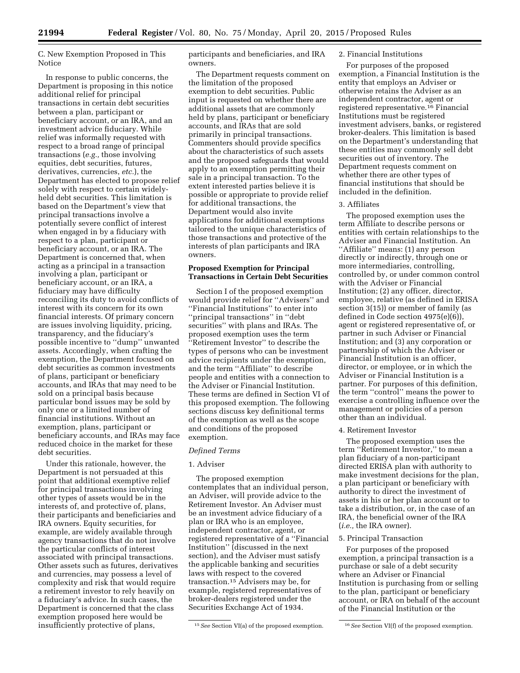C. New Exemption Proposed in This Notice

In response to public concerns, the Department is proposing in this notice additional relief for principal transactions in certain debt securities between a plan, participant or beneficiary account, or an IRA, and an investment advice fiduciary. While relief was informally requested with respect to a broad range of principal transactions (*e.g.,* those involving equities, debt securities, futures, derivatives, currencies, *etc.*), the Department has elected to propose relief solely with respect to certain widelyheld debt securities. This limitation is based on the Department's view that principal transactions involve a potentially severe conflict of interest when engaged in by a fiduciary with respect to a plan, participant or beneficiary account, or an IRA. The Department is concerned that, when acting as a principal in a transaction involving a plan, participant or beneficiary account, or an IRA, a fiduciary may have difficulty reconciling its duty to avoid conflicts of interest with its concern for its own financial interests. Of primary concern are issues involving liquidity, pricing, transparency, and the fiduciary's possible incentive to ''dump'' unwanted assets. Accordingly, when crafting the exemption, the Department focused on debt securities as common investments of plans, participant or beneficiary accounts, and IRAs that may need to be sold on a principal basis because particular bond issues may be sold by only one or a limited number of financial institutions. Without an exemption, plans, participant or beneficiary accounts, and IRAs may face reduced choice in the market for these debt securities.

Under this rationale, however, the Department is not persuaded at this point that additional exemptive relief for principal transactions involving other types of assets would be in the interests of, and protective of, plans, their participants and beneficiaries and IRA owners. Equity securities, for example, are widely available through agency transactions that do not involve the particular conflicts of interest associated with principal transactions. Other assets such as futures, derivatives and currencies, may possess a level of complexity and risk that would require a retirement investor to rely heavily on a fiduciary's advice. In such cases, the Department is concerned that the class exemption proposed here would be insufficiently protective of plans,

participants and beneficiaries, and IRA owners.

The Department requests comment on the limitation of the proposed exemption to debt securities. Public input is requested on whether there are additional assets that are commonly held by plans, participant or beneficiary accounts, and IRAs that are sold primarily in principal transactions. Commenters should provide specifics about the characteristics of such assets and the proposed safeguards that would apply to an exemption permitting their sale in a principal transaction. To the extent interested parties believe it is possible or appropriate to provide relief for additional transactions, the Department would also invite applications for additional exemptions tailored to the unique characteristics of those transactions and protective of the interests of plan participants and IRA owners.

#### **Proposed Exemption for Principal Transactions in Certain Debt Securities**

Section I of the proposed exemption would provide relief for ''Advisers'' and ''Financial Institutions'' to enter into ''principal transactions'' in ''debt securities'' with plans and IRAs. The proposed exemption uses the term ''Retirement Investor'' to describe the types of persons who can be investment advice recipients under the exemption, and the term ''Affiliate'' to describe people and entities with a connection to the Adviser or Financial Institution. These terms are defined in Section VI of this proposed exemption. The following sections discuss key definitional terms of the exemption as well as the scope and conditions of the proposed exemption.

### *Defined Terms*

## 1. Adviser

The proposed exemption contemplates that an individual person, an Adviser, will provide advice to the Retirement Investor. An Adviser must be an investment advice fiduciary of a plan or IRA who is an employee, independent contractor, agent, or registered representative of a ''Financial Institution'' (discussed in the next section), and the Adviser must satisfy the applicable banking and securities laws with respect to the covered transaction.15 Advisers may be, for example, registered representatives of broker-dealers registered under the Securities Exchange Act of 1934.

## 2. Financial Institutions

For purposes of the proposed exemption, a Financial Institution is the entity that employs an Adviser or otherwise retains the Adviser as an independent contractor, agent or registered representative.16 Financial Institutions must be registered investment advisers, banks, or registered broker-dealers. This limitation is based on the Department's understanding that these entities may commonly sell debt securities out of inventory. The Department requests comment on whether there are other types of financial institutions that should be included in the definition.

# 3. Affiliates

The proposed exemption uses the term Affiliate to describe persons or entities with certain relationships to the Adviser and Financial Institution. An ''Affiliate'' means: (1) any person directly or indirectly, through one or more intermediaries, controlling, controlled by, or under common control with the Adviser or Financial Institution; (2) any officer, director, employee, relative (as defined in ERISA section 3(15)) or member of family (as defined in Code section 4975(e)(6)), agent or registered representative of, or partner in such Adviser or Financial Institution; and (3) any corporation or partnership of which the Adviser or Financial Institution is an officer, director, or employee, or in which the Adviser or Financial Institution is a partner. For purposes of this definition, the term ''control'' means the power to exercise a controlling influence over the management or policies of a person other than an individual.

#### 4. Retirement Investor

The proposed exemption uses the term ''Retirement Investor,'' to mean a plan fiduciary of a non-participant directed ERISA plan with authority to make investment decisions for the plan, a plan participant or beneficiary with authority to direct the investment of assets in his or her plan account or to take a distribution, or, in the case of an IRA, the beneficial owner of the IRA (*i.e.,* the IRA owner).

### 5. Principal Transaction

For purposes of the proposed exemption, a principal transaction is a purchase or sale of a debt security where an Adviser or Financial Institution is purchasing from or selling to the plan, participant or beneficiary account, or IRA on behalf of the account of the Financial Institution or the

<sup>15</sup>*See* Section VI(a) of the proposed exemption. 16*See* Section VI(f) of the proposed exemption.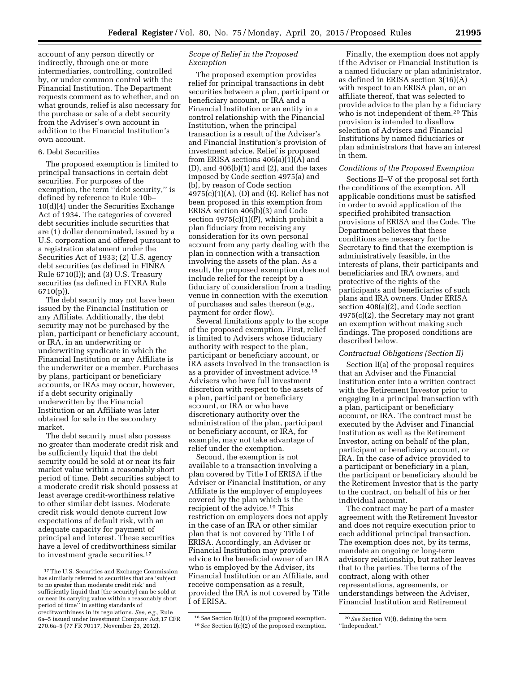account of any person directly or indirectly, through one or more intermediaries, controlling, controlled by, or under common control with the Financial Institution. The Department requests comment as to whether, and on what grounds, relief is also necessary for the purchase or sale of a debt security from the Adviser's own account in addition to the Financial Institution's own account.

# 6. Debt Securities

The proposed exemption is limited to principal transactions in certain debt securities. For purposes of the exemption, the term ''debt security,'' is defined by reference to Rule 10b– 10(d)(4) under the Securities Exchange Act of 1934. The categories of covered debt securities include securities that are (1) dollar denominated, issued by a U.S. corporation and offered pursuant to a registration statement under the Securities Act of 1933; (2) U.S. agency debt securities (as defined in FINRA Rule 6710(l)); and (3) U.S. Treasury securities (as defined in FINRA Rule 6710(p)).

The debt security may not have been issued by the Financial Institution or any Affiliate. Additionally, the debt security may not be purchased by the plan, participant or beneficiary account, or IRA, in an underwriting or underwriting syndicate in which the Financial Institution or any Affiliate is the underwriter or a member. Purchases by plans, participant or beneficiary accounts, or IRAs may occur, however, if a debt security originally underwritten by the Financial Institution or an Affiliate was later obtained for sale in the secondary market.

The debt security must also possess no greater than moderate credit risk and be sufficiently liquid that the debt security could be sold at or near its fair market value within a reasonably short period of time. Debt securities subject to a moderate credit risk should possess at least average credit-worthiness relative to other similar debt issues. Moderate credit risk would denote current low expectations of default risk, with an adequate capacity for payment of principal and interest. These securities have a level of creditworthiness similar to investment grade securities.17

# *Scope of Relief in the Proposed Exemption*

The proposed exemption provides relief for principal transactions in debt securities between a plan, participant or beneficiary account, or IRA and a Financial Institution or an entity in a control relationship with the Financial Institution, when the principal transaction is a result of the Adviser's and Financial Institution's provision of investment advice. Relief is proposed from ERISA sections 406(a)(1)(A) and  $(D)$ , and  $406(b)(1)$  and  $(2)$ , and the taxes imposed by Code section 4975(a) and (b), by reason of Code section  $4975(c)(1)(A)$ , (D) and (E). Relief has not been proposed in this exemption from ERISA section 406(b)(3) and Code section  $4975(c)(1)(F)$ , which prohibit a plan fiduciary from receiving any consideration for its own personal account from any party dealing with the plan in connection with a transaction involving the assets of the plan. As a result, the proposed exemption does not include relief for the receipt by a fiduciary of consideration from a trading venue in connection with the execution of purchases and sales thereon (*e.g.,*  payment for order flow).

Several limitations apply to the scope of the proposed exemption. First, relief is limited to Advisers whose fiduciary authority with respect to the plan, participant or beneficiary account, or IRA assets involved in the transaction is as a provider of investment advice.18 Advisers who have full investment discretion with respect to the assets of a plan, participant or beneficiary account, or IRA or who have discretionary authority over the administration of the plan, participant or beneficiary account, or IRA, for example, may not take advantage of relief under the exemption.

Second, the exemption is not available to a transaction involving a plan covered by Title I of ERISA if the Adviser or Financial Institution, or any Affiliate is the employer of employees covered by the plan which is the recipient of the advice.<sup>19</sup> This restriction on employers does not apply in the case of an IRA or other similar plan that is not covered by Title I of ERISA. Accordingly, an Adviser or Financial Institution may provide advice to the beneficial owner of an IRA who is employed by the Adviser, its Financial Institution or an Affiliate, and receive compensation as a result, provided the IRA is not covered by Title I of ERISA.

Finally, the exemption does not apply if the Adviser or Financial Institution is a named fiduciary or plan administrator, as defined in ERISA section 3(16)(A) with respect to an ERISA plan, or an affiliate thereof, that was selected to provide advice to the plan by a fiduciary who is not independent of them.<sup>20</sup> This provision is intended to disallow selection of Advisers and Financial Institutions by named fiduciaries or plan administrators that have an interest in them.

### *Conditions of the Proposed Exemption*

Sections II–V of the proposal set forth the conditions of the exemption. All applicable conditions must be satisfied in order to avoid application of the specified prohibited transaction provisions of ERISA and the Code. The Department believes that these conditions are necessary for the Secretary to find that the exemption is administratively feasible, in the interests of plans, their participants and beneficiaries and IRA owners, and protective of the rights of the participants and beneficiaries of such plans and IRA owners. Under ERISA section 408(a)(2), and Code section 4975(c)(2), the Secretary may not grant an exemption without making such findings. The proposed conditions are described below.

### *Contractual Obligations (Section II)*

Section II(a) of the proposal requires that an Adviser and the Financial Institution enter into a written contract with the Retirement Investor prior to engaging in a principal transaction with a plan, participant or beneficiary account, or IRA. The contract must be executed by the Adviser and Financial Institution as well as the Retirement Investor, acting on behalf of the plan, participant or beneficiary account, or IRA. In the case of advice provided to a participant or beneficiary in a plan, the participant or beneficiary should be the Retirement Investor that is the party to the contract, on behalf of his or her individual account.

The contract may be part of a master agreement with the Retirement Investor and does not require execution prior to each additional principal transaction. The exemption does not, by its terms, mandate an ongoing or long-term advisory relationship, but rather leaves that to the parties. The terms of the contract, along with other representations, agreements, or understandings between the Adviser, Financial Institution and Retirement

<sup>17</sup>The U.S. Securities and Exchange Commission has similarly referred to securities that are 'subject to no greater than moderate credit risk' and sufficiently liquid that [the security] can be sold at or near its carrying value within a reasonably short period of time'' in setting standards of creditworthiness in its regulations. *See, e.g.,* Rule 6a–5 issued under Investment Company Act,17 CFR 270.6a–5 (77 FR 70117, November 23, 2012).

<sup>18</sup>*See* Section I(c)(1) of the proposed exemption. 19*See* Section I(c)(2) of the proposed exemption.

<sup>20</sup>*See* Section VI(f), defining the term ''Independent.''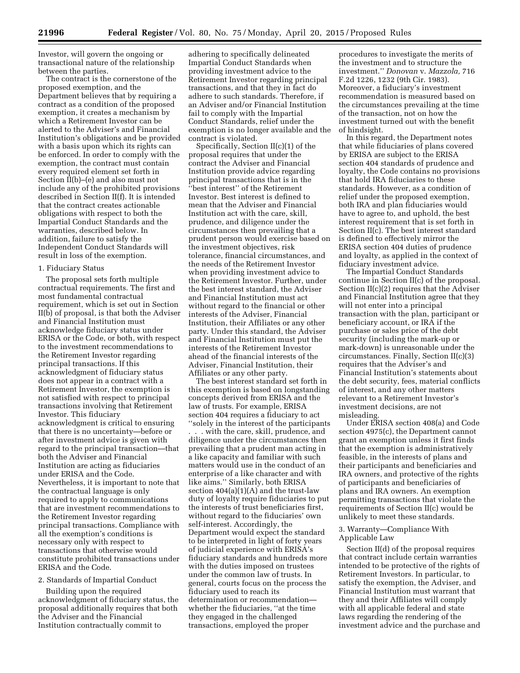Investor, will govern the ongoing or transactional nature of the relationship between the parties.

The contract is the cornerstone of the proposed exemption, and the Department believes that by requiring a contract as a condition of the proposed exemption, it creates a mechanism by which a Retirement Investor can be alerted to the Adviser's and Financial Institution's obligations and be provided with a basis upon which its rights can be enforced. In order to comply with the exemption, the contract must contain every required element set forth in Section  $\overline{II}(b)$ –(e) and also must not include any of the prohibited provisions described in Section II(f). It is intended that the contract creates actionable obligations with respect to both the Impartial Conduct Standards and the warranties, described below. In addition, failure to satisfy the Independent Conduct Standards will result in loss of the exemption.

#### 1. Fiduciary Status

The proposal sets forth multiple contractual requirements. The first and most fundamental contractual requirement, which is set out in Section II(b) of proposal, is that both the Adviser and Financial Institution must acknowledge fiduciary status under ERISA or the Code, or both, with respect to the investment recommendations to the Retirement Investor regarding principal transactions. If this acknowledgment of fiduciary status does not appear in a contract with a Retirement Investor, the exemption is not satisfied with respect to principal transactions involving that Retirement Investor. This fiduciary acknowledgment is critical to ensuring that there is no uncertainty—before or after investment advice is given with regard to the principal transaction—that both the Adviser and Financial Institution are acting as fiduciaries under ERISA and the Code. Nevertheless, it is important to note that the contractual language is only required to apply to communications that are investment recommendations to the Retirement Investor regarding principal transactions. Compliance with all the exemption's conditions is necessary only with respect to transactions that otherwise would constitute prohibited transactions under ERISA and the Code.

#### 2. Standards of Impartial Conduct

Building upon the required acknowledgment of fiduciary status, the proposal additionally requires that both the Adviser and the Financial Institution contractually commit to

adhering to specifically delineated Impartial Conduct Standards when providing investment advice to the Retirement Investor regarding principal transactions, and that they in fact do adhere to such standards. Therefore, if an Adviser and/or Financial Institution fail to comply with the Impartial Conduct Standards, relief under the exemption is no longer available and the contract is violated.

Specifically, Section II(c)(1) of the proposal requires that under the contract the Adviser and Financial Institution provide advice regarding principal transactions that is in the ''best interest'' of the Retirement Investor. Best interest is defined to mean that the Adviser and Financial Institution act with the care, skill, prudence, and diligence under the circumstances then prevailing that a prudent person would exercise based on the investment objectives, risk tolerance, financial circumstances, and the needs of the Retirement Investor when providing investment advice to the Retirement Investor. Further, under the best interest standard, the Adviser and Financial Institution must act without regard to the financial or other interests of the Adviser, Financial Institution, their Affiliates or any other party. Under this standard, the Adviser and Financial Institution must put the interests of the Retirement Investor ahead of the financial interests of the Adviser, Financial Institution, their Affiliates or any other party.

The best interest standard set forth in this exemption is based on longstanding concepts derived from ERISA and the law of trusts. For example, ERISA section 404 requires a fiduciary to act ''solely in the interest of the participants . . . with the care, skill, prudence, and diligence under the circumstances then prevailing that a prudent man acting in a like capacity and familiar with such matters would use in the conduct of an enterprise of a like character and with like aims.'' Similarly, both ERISA section  $404(a)(1)(A)$  and the trust-law duty of loyalty require fiduciaries to put the interests of trust beneficiaries first, without regard to the fiduciaries' own self-interest. Accordingly, the Department would expect the standard to be interpreted in light of forty years of judicial experience with ERISA's fiduciary standards and hundreds more with the duties imposed on trustees under the common law of trusts. In general, courts focus on the process the fiduciary used to reach its determination or recommendation whether the fiduciaries, ''at the time they engaged in the challenged transactions, employed the proper

procedures to investigate the merits of the investment and to structure the investment.'' *Donovan* v. *Mazzola,* 716 F.2d 1226, 1232 (9th Cir. 1983). Moreover, a fiduciary's investment recommendation is measured based on the circumstances prevailing at the time of the transaction, not on how the investment turned out with the benefit of hindsight.

In this regard, the Department notes that while fiduciaries of plans covered by ERISA are subject to the ERISA section 404 standards of prudence and loyalty, the Code contains no provisions that hold IRA fiduciaries to these standards. However, as a condition of relief under the proposed exemption, both IRA and plan fiduciaries would have to agree to, and uphold, the best interest requirement that is set forth in Section II(c). The best interest standard is defined to effectively mirror the ERISA section 404 duties of prudence and loyalty, as applied in the context of fiduciary investment advice.

The Impartial Conduct Standards continue in Section II(c) of the proposal. Section II(c)(2) requires that the Adviser and Financial Institution agree that they will not enter into a principal transaction with the plan, participant or beneficiary account, or IRA if the purchase or sales price of the debt security (including the mark-up or mark-down) is unreasonable under the circumstances. Finally, Section II(c)(3) requires that the Adviser's and Financial Institution's statements about the debt security, fees, material conflicts of interest, and any other matters relevant to a Retirement Investor's investment decisions, are not misleading.

Under ERISA section 408(a) and Code section 4975(c), the Department cannot grant an exemption unless it first finds that the exemption is administratively feasible, in the interests of plans and their participants and beneficiaries and IRA owners, and protective of the rights of participants and beneficiaries of plans and IRA owners. An exemption permitting transactions that violate the requirements of Section II(c) would be unlikely to meet these standards.

# 3. Warranty—Compliance With Applicable Law

Section II(d) of the proposal requires that contract include certain warranties intended to be protective of the rights of Retirement Investors. In particular, to satisfy the exemption, the Adviser, and Financial Institution must warrant that they and their Affiliates will comply with all applicable federal and state laws regarding the rendering of the investment advice and the purchase and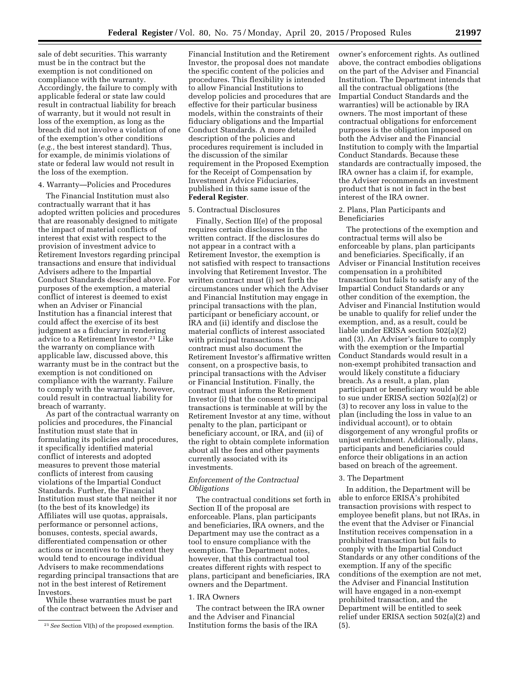sale of debt securities. This warranty must be in the contract but the exemption is not conditioned on compliance with the warranty. Accordingly, the failure to comply with applicable federal or state law could result in contractual liability for breach of warranty, but it would not result in loss of the exemption, as long as the breach did not involve a violation of one of the exemption's other conditions (*e.g.,* the best interest standard). Thus, for example, de minimis violations of state or federal law would not result in the loss of the exemption.

### 4. Warranty—Policies and Procedures

The Financial Institution must also contractually warrant that it has adopted written policies and procedures that are reasonably designed to mitigate the impact of material conflicts of interest that exist with respect to the provision of investment advice to Retirement Investors regarding principal transactions and ensure that individual Advisers adhere to the Impartial Conduct Standards described above. For purposes of the exemption, a material conflict of interest is deemed to exist when an Adviser or Financial Institution has a financial interest that could affect the exercise of its best judgment as a fiduciary in rendering advice to a Retirement Investor.21 Like the warranty on compliance with applicable law, discussed above, this warranty must be in the contract but the exemption is not conditioned on compliance with the warranty. Failure to comply with the warranty, however, could result in contractual liability for breach of warranty.

As part of the contractual warranty on policies and procedures, the Financial Institution must state that in formulating its policies and procedures, it specifically identified material conflict of interests and adopted measures to prevent those material conflicts of interest from causing violations of the Impartial Conduct Standards. Further, the Financial Institution must state that neither it nor (to the best of its knowledge) its Affiliates will use quotas, appraisals, performance or personnel actions, bonuses, contests, special awards, differentiated compensation or other actions or incentives to the extent they would tend to encourage individual Advisers to make recommendations regarding principal transactions that are not in the best interest of Retirement Investors.

While these warranties must be part of the contract between the Adviser and

Financial Institution and the Retirement Investor, the proposal does not mandate the specific content of the policies and procedures. This flexibility is intended to allow Financial Institutions to develop policies and procedures that are effective for their particular business models, within the constraints of their fiduciary obligations and the Impartial Conduct Standards. A more detailed description of the policies and procedures requirement is included in the discussion of the similar requirement in the Proposed Exemption for the Receipt of Compensation by Investment Advice Fiduciaries, published in this same issue of the **Federal Register**.

#### 5. Contractual Disclosures

Finally, Section II(e) of the proposal requires certain disclosures in the written contract. If the disclosures do not appear in a contract with a Retirement Investor, the exemption is not satisfied with respect to transactions involving that Retirement Investor. The written contract must (i) set forth the circumstances under which the Adviser and Financial Institution may engage in principal transactions with the plan, participant or beneficiary account, or IRA and (ii) identify and disclose the material conflicts of interest associated with principal transactions. The contract must also document the Retirement Investor's affirmative written consent, on a prospective basis, to principal transactions with the Adviser or Financial Institution. Finally, the contract must inform the Retirement Investor (i) that the consent to principal transactions is terminable at will by the Retirement Investor at any time, without penalty to the plan, participant or beneficiary account, or IRA, and (ii) of the right to obtain complete information about all the fees and other payments currently associated with its investments.

## *Enforcement of the Contractual Obligations*

The contractual conditions set forth in Section II of the proposal are enforceable. Plans, plan participants and beneficiaries, IRA owners, and the Department may use the contract as a tool to ensure compliance with the exemption. The Department notes, however, that this contractual tool creates different rights with respect to plans, participant and beneficiaries, IRA owners and the Department.

## 1. IRA Owners

The contract between the IRA owner and the Adviser and Financial Institution forms the basis of the IRA

owner's enforcement rights. As outlined above, the contract embodies obligations on the part of the Adviser and Financial Institution. The Department intends that all the contractual obligations (the Impartial Conduct Standards and the warranties) will be actionable by IRA owners. The most important of these contractual obligations for enforcement purposes is the obligation imposed on both the Adviser and the Financial Institution to comply with the Impartial Conduct Standards. Because these standards are contractually imposed, the IRA owner has a claim if, for example, the Adviser recommends an investment product that is not in fact in the best interest of the IRA owner.

# 2. Plans, Plan Participants and Beneficiaries

The protections of the exemption and contractual terms will also be enforceable by plans, plan participants and beneficiaries. Specifically, if an Adviser or Financial Institution receives compensation in a prohibited transaction but fails to satisfy any of the Impartial Conduct Standards or any other condition of the exemption, the Adviser and Financial Institution would be unable to qualify for relief under the exemption, and, as a result, could be liable under ERISA section 502(a)(2) and (3). An Adviser's failure to comply with the exemption or the Impartial Conduct Standards would result in a non-exempt prohibited transaction and would likely constitute a fiduciary breach. As a result, a plan, plan participant or beneficiary would be able to sue under ERISA section 502(a)(2) or (3) to recover any loss in value to the plan (including the loss in value to an individual account), or to obtain disgorgement of any wrongful profits or unjust enrichment. Additionally, plans, participants and beneficiaries could enforce their obligations in an action based on breach of the agreement.

## 3. The Department

In addition, the Department will be able to enforce ERISA's prohibited transaction provisions with respect to employee benefit plans, but not IRAs, in the event that the Adviser or Financial Institution receives compensation in a prohibited transaction but fails to comply with the Impartial Conduct Standards or any other conditions of the exemption. If any of the specific conditions of the exemption are not met, the Adviser and Financial Institution will have engaged in a non-exempt prohibited transaction, and the Department will be entitled to seek relief under ERISA section 502(a)(2) and (5).

<sup>21</sup>*See* Section VI(h) of the proposed exemption.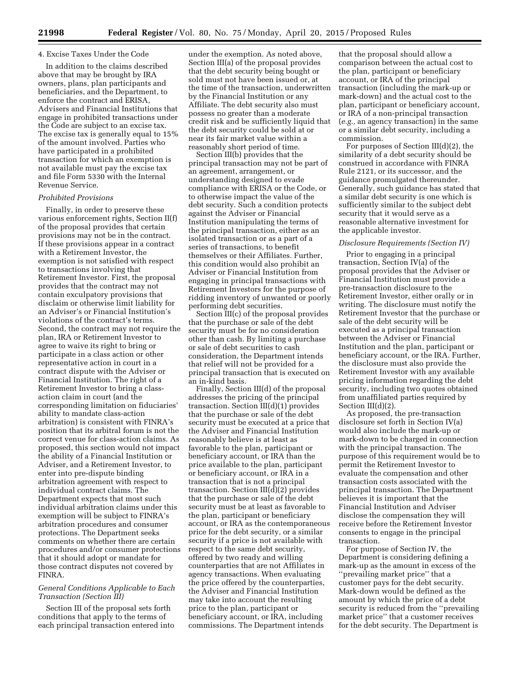#### 4. Excise Taxes Under the Code

In addition to the claims described above that may be brought by IRA owners, plans, plan participants and beneficiaries, and the Department, to enforce the contract and ERISA, Advisers and Financial Institutions that engage in prohibited transactions under the Code are subject to an excise tax. The excise tax is generally equal to 15% of the amount involved. Parties who have participated in a prohibited transaction for which an exemption is not available must pay the excise tax and file Form 5330 with the Internal Revenue Service.

#### *Prohibited Provisions*

Finally, in order to preserve these various enforcement rights, Section II(f) of the proposal provides that certain provisions may not be in the contract. If these provisions appear in a contract with a Retirement Investor, the exemption is not satisfied with respect to transactions involving that Retirement Investor. First, the proposal provides that the contract may not contain exculpatory provisions that disclaim or otherwise limit liability for an Adviser's or Financial Institution's violations of the contract's terms. Second, the contract may not require the plan, IRA or Retirement Investor to agree to waive its right to bring or participate in a class action or other representative action in court in a contract dispute with the Adviser or Financial Institution. The right of a Retirement Investor to bring a classaction claim in court (and the corresponding limitation on fiduciaries' ability to mandate class-action arbitration) is consistent with FINRA's position that its arbitral forum is not the correct venue for class-action claims. As proposed, this section would not impact the ability of a Financial Institution or Adviser, and a Retirement Investor, to enter into pre-dispute binding arbitration agreement with respect to individual contract claims. The Department expects that most such individual arbitration claims under this exemption will be subject to FINRA's arbitration procedures and consumer protections. The Department seeks comments on whether there are certain procedures and/or consumer protections that it should adopt or mandate for those contract disputes not covered by FINRA.

## *General Conditions Applicable to Each Transaction (Section III)*

Section III of the proposal sets forth conditions that apply to the terms of each principal transaction entered into

under the exemption. As noted above, Section III(a) of the proposal provides that the debt security being bought or sold must not have been issued or, at the time of the transaction, underwritten by the Financial Institution or any Affiliate. The debt security also must possess no greater than a moderate credit risk and be sufficiently liquid that the debt security could be sold at or near its fair market value within a reasonably short period of time.

Section III(b) provides that the principal transaction may not be part of an agreement, arrangement, or understanding designed to evade compliance with ERISA or the Code, or to otherwise impact the value of the debt security. Such a condition protects against the Adviser or Financial Institution manipulating the terms of the principal transaction, either as an isolated transaction or as a part of a series of transactions, to benefit themselves or their Affiliates. Further, this condition would also prohibit an Adviser or Financial Institution from engaging in principal transactions with Retirement Investors for the purpose of ridding inventory of unwanted or poorly performing debt securities.

Section III(c) of the proposal provides that the purchase or sale of the debt security must be for no consideration other than cash. By limiting a purchase or sale of debt securities to cash consideration, the Department intends that relief will not be provided for a principal transaction that is executed on an in-kind basis.

Finally, Section III(d) of the proposal addresses the pricing of the principal transaction. Section III(d)(1) provides that the purchase or sale of the debt security must be executed at a price that the Adviser and Financial Institution reasonably believe is at least as favorable to the plan, participant or beneficiary account, or IRA than the price available to the plan, participant or beneficiary account, or IRA in a transaction that is not a principal transaction. Section III(d)(2) provides that the purchase or sale of the debt security must be at least as favorable to the plan, participant or beneficiary account, or IRA as the contemporaneous price for the debt security, or a similar security if a price is not available with respect to the same debt security, offered by two ready and willing counterparties that are not Affiliates in agency transactions. When evaluating the price offered by the counterparties, the Adviser and Financial Institution may take into account the resulting price to the plan, participant or beneficiary account, or IRA, including commissions. The Department intends

that the proposal should allow a comparison between the actual cost to the plan, participant or beneficiary account, or IRA of the principal transaction (including the mark-up or mark-down) and the actual cost to the plan, participant or beneficiary account, or IRA of a non-principal transaction (*e.g.,* an agency transaction) in the same or a similar debt security, including a commission.

For purposes of Section III(d)(2), the similarity of a debt security should be construed in accordance with FINRA Rule 2121, or its successor, and the guidance promulgated thereunder. Generally, such guidance has stated that a similar debt security is one which is sufficiently similar to the subject debt security that it would serve as a reasonable alternative investment for the applicable investor.

## *Disclosure Requirements (Section IV)*

Prior to engaging in a principal transaction, Section IV(a) of the proposal provides that the Adviser or Financial Institution must provide a pre-transaction disclosure to the Retirement Investor, either orally or in writing. The disclosure must notify the Retirement Investor that the purchase or sale of the debt security will be executed as a principal transaction between the Adviser or Financial Institution and the plan, participant or beneficiary account, or the IRA. Further, the disclosure must also provide the Retirement Investor with any available pricing information regarding the debt security, including two quotes obtained from unaffiliated parties required by Section III(d)(2).

As proposed, the pre-transaction disclosure set forth in Section IV(a) would also include the mark-up or mark-down to be charged in connection with the principal transaction. The purpose of this requirement would be to permit the Retirement Investor to evaluate the compensation and other transaction costs associated with the principal transaction. The Department believes it is important that the Financial Institution and Adviser disclose the compensation they will receive before the Retirement Investor consents to engage in the principal transaction.

For purpose of Section IV, the Department is considering defining a mark-up as the amount in excess of the ''prevailing market price'' that a customer pays for the debt security. Mark-down would be defined as the amount by which the price of a debt security is reduced from the ''prevailing market price'' that a customer receives for the debt security. The Department is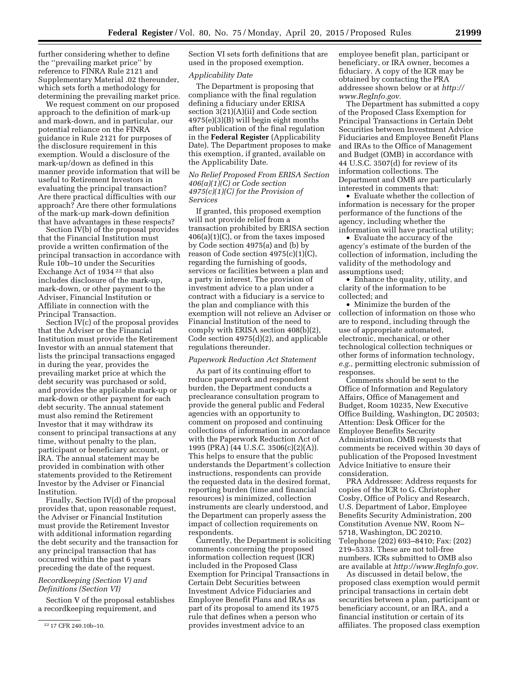further considering whether to define the ''prevailing market price'' by reference to FINRA Rule 2121 and Supplementary Material .02 thereunder, which sets forth a methodology for determining the prevailing market price.

We request comment on our proposed approach to the definition of mark-up and mark-down, and in particular, our potential reliance on the FINRA guidance in Rule 2121 for purposes of the disclosure requirement in this exemption. Would a disclosure of the mark-up/down as defined in this manner provide information that will be useful to Retirement Investors in evaluating the principal transaction? Are there practical difficulties with our approach? Are there other formulations of the mark-up mark-down definition that have advantages in these respects?

Section IV(b) of the proposal provides that the Financial Institution must provide a written confirmation of the principal transaction in accordance with Rule 10b–10 under the Securities Exchange Act of 1934 22 that also includes disclosure of the mark-up, mark-down, or other payment to the Adviser, Financial Institution or Affiliate in connection with the Principal Transaction.

Section IV(c) of the proposal provides that the Adviser or the Financial Institution must provide the Retirement Investor with an annual statement that lists the principal transactions engaged in during the year, provides the prevailing market price at which the debt security was purchased or sold, and provides the applicable mark-up or mark-down or other payment for each debt security. The annual statement must also remind the Retirement Investor that it may withdraw its consent to principal transactions at any time, without penalty to the plan, participant or beneficiary account, or IRA. The annual statement may be provided in combination with other statements provided to the Retirement Investor by the Adviser or Financial Institution.

Finally, Section IV(d) of the proposal provides that, upon reasonable request, the Adviser or Financial Institution must provide the Retirement Investor with additional information regarding the debt security and the transaction for any principal transaction that has occurred within the past 6 years preceding the date of the request.

# *Recordkeeping (Section V) and Definitions (Section VI)*

Section V of the proposal establishes a recordkeeping requirement, and

Section VI sets forth definitions that are used in the proposed exemption.

#### *Applicability Date*

The Department is proposing that compliance with the final regulation defining a fiduciary under ERISA section 3(21)(A)(ii) and Code section 4975(e)(3)(B) will begin eight months after publication of the final regulation in the **Federal Register** (Applicability Date). The Department proposes to make this exemption, if granted, available on the Applicability Date.

# *No Relief Proposed From ERISA Section 406(a)(1)(C) or Code section 4975(c)(1)(C) for the Provision of Services*

If granted, this proposed exemption will not provide relief from a transaction prohibited by ERISA section 406(a)(1)(C), or from the taxes imposed by Code section 4975(a) and (b) by reason of Code section 4975(c)(1)(C), regarding the furnishing of goods, services or facilities between a plan and a party in interest. The provision of investment advice to a plan under a contract with a fiduciary is a service to the plan and compliance with this exemption will not relieve an Adviser or Financial Institution of the need to comply with ERISA section 408(b)(2), Code section 4975(d)(2), and applicable regulations thereunder.

#### *Paperwork Reduction Act Statement*

As part of its continuing effort to reduce paperwork and respondent burden, the Department conducts a preclearance consultation program to provide the general public and Federal agencies with an opportunity to comment on proposed and continuing collections of information in accordance with the Paperwork Reduction Act of 1995 (PRA) (44 U.S.C. 3506(c)(2)(A)). This helps to ensure that the public understands the Department's collection instructions, respondents can provide the requested data in the desired format, reporting burden (time and financial resources) is minimized, collection instruments are clearly understood, and the Department can properly assess the impact of collection requirements on respondents.

Currently, the Department is soliciting comments concerning the proposed information collection request (ICR) included in the Proposed Class Exemption for Principal Transactions in Certain Debt Securities between Investment Advice Fiduciaries and Employee Benefit Plans and IRAs as part of its proposal to amend its 1975 rule that defines when a person who provides investment advice to an

employee benefit plan, participant or beneficiary, or IRA owner, becomes a fiduciary. A copy of the ICR may be obtained by contacting the PRA addressee shown below or at *[http://](http://www.RegInfo.gov) [www.RegInfo.gov](http://www.RegInfo.gov)*.

The Department has submitted a copy of the Proposed Class Exemption for Principal Transactions in Certain Debt Securities between Investment Advice Fiduciaries and Employee Benefit Plans and IRAs to the Office of Management and Budget (OMB) in accordance with 44 U.S.C. 3507(d) for review of its information collections. The Department and OMB are particularly interested in comments that:

• Evaluate whether the collection of information is necessary for the proper performance of the functions of the agency, including whether the information will have practical utility;

• Evaluate the accuracy of the agency's estimate of the burden of the collection of information, including the validity of the methodology and assumptions used;

• Enhance the quality, utility, and clarity of the information to be collected; and

• Minimize the burden of the collection of information on those who are to respond, including through the use of appropriate automated, electronic, mechanical, or other technological collection techniques or other forms of information technology, *e.g.,* permitting electronic submission of responses.

Comments should be sent to the Office of Information and Regulatory Affairs, Office of Management and Budget, Room 10235, New Executive Office Building, Washington, DC 20503; Attention: Desk Officer for the Employee Benefits Security Administration. OMB requests that comments be received within 30 days of publication of the Proposed Investment Advice Initiative to ensure their consideration.

PRA Addressee: Address requests for copies of the ICR to G. Christopher Cosby, Office of Policy and Research, U.S. Department of Labor, Employee Benefits Security Administration, 200 Constitution Avenue NW, Room N– 5718, Washington, DC 20210. Telephone (202) 693–8410; Fax: (202) 219–5333. These are not toll-free numbers. ICRs submitted to OMB also are available at *<http://www.RegInfo.gov>*.

As discussed in detail below, the proposed class exemption would permit principal transactions in certain debt securities between a plan, participant or beneficiary account, or an IRA, and a financial institution or certain of its affiliates. The proposed class exemption

<sup>22</sup> 17 CFR 240.10b–10.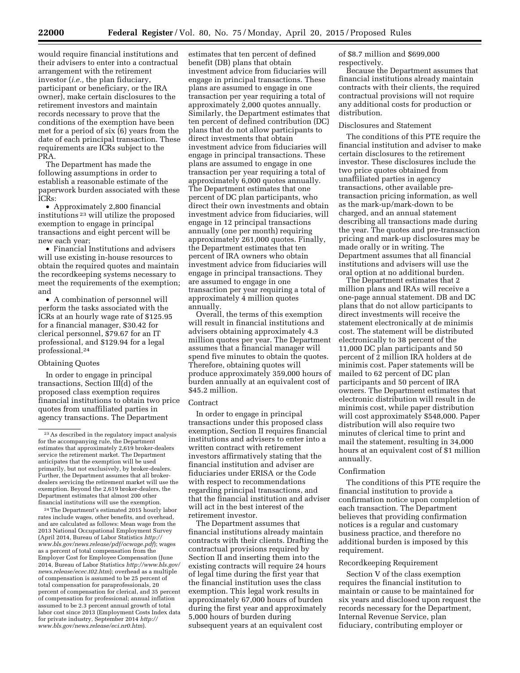would require financial institutions and their advisers to enter into a contractual arrangement with the retirement investor (*i.e.,* the plan fiduciary, participant or beneficiary, or the IRA owner), make certain disclosures to the retirement investors and maintain records necessary to prove that the conditions of the exemption have been met for a period of six (6) years from the date of each principal transaction. These requirements are ICRs subject to the PRA.

The Department has made the following assumptions in order to establish a reasonable estimate of the paperwork burden associated with these ICRs:

• Approximately 2,800 financial institutions 23 will utilize the proposed exemption to engage in principal transactions and eight percent will be new each year;

• Financial Institutions and advisers will use existing in-house resources to obtain the required quotes and maintain the recordkeeping systems necessary to meet the requirements of the exemption; and

• A combination of personnel will perform the tasks associated with the ICRs at an hourly wage rate of \$125.95 for a financial manager, \$30.42 for clerical personnel, \$79.67 for an IT professional, and \$129.94 for a legal professional.24

## Obtaining Quotes

In order to engage in principal transactions, Section III(d) of the proposed class exemption requires financial institutions to obtain two price quotes from unaffiliated parties in agency transactions. The Department

24The Department's estimated 2015 hourly labor rates include wages, other benefits, and overhead, and are calculated as follows: Mean wage from the 2013 National Occupational Employment Survey (April 2014, Bureau of Labor Statistics *[http://](http://www.bls.gov/news.release/pdf/ocwage.pdf) [www.bls.gov/news.release/pdf/ocwage.pdf](http://www.bls.gov/news.release/pdf/ocwage.pdf)*); wages as a percent of total compensation from the Employer Cost for Employee Compensation (June 2014, Bureau of Labor Statistics *[http://www.bls.gov/](http://www.bls.gov/news.release/ecec.t02.htm) [news.release/ecec.t02.htm](http://www.bls.gov/news.release/ecec.t02.htm)*); overhead as a multiple of compensation is assumed to be 25 percent of total compensation for paraprofessionals, 20 percent of compensation for clerical, and 35 percent of compensation for professional; annual inflation assumed to be 2.3 percent annual growth of total labor cost since 2013 (Employment Costs Index data for private industry, September 2014 *[http://](http://www.bls.gov/news.release/eci.nr0.htm) [www.bls.gov/news.release/eci.nr0.htm](http://www.bls.gov/news.release/eci.nr0.htm)*).

estimates that ten percent of defined benefit (DB) plans that obtain investment advice from fiduciaries will engage in principal transactions. These plans are assumed to engage in one transaction per year requiring a total of approximately 2,000 quotes annually. Similarly, the Department estimates that ten percent of defined contribution (DC) plans that do not allow participants to direct investments that obtain investment advice from fiduciaries will engage in principal transactions. These plans are assumed to engage in one transaction per year requiring a total of approximately 6,000 quotes annually. The Department estimates that one percent of DC plan participants, who direct their own investments and obtain investment advice from fiduciaries, will engage in 12 principal transactions annually (one per month) requiring approximately 261,000 quotes. Finally, the Department estimates that ten percent of IRA owners who obtain investment advice from fiduciaries will engage in principal transactions. They are assumed to engage in one transaction per year requiring a total of approximately 4 million quotes annually.

Overall, the terms of this exemption will result in financial institutions and advisers obtaining approximately 4.3 million quotes per year. The Department assumes that a financial manager will spend five minutes to obtain the quotes. Therefore, obtaining quotes will produce approximately 359,000 hours of burden annually at an equivalent cost of \$45.2 million.

#### Contract

In order to engage in principal transactions under this proposed class exemption, Section II requires financial institutions and advisers to enter into a written contract with retirement investors affirmatively stating that the financial institution and adviser are fiduciaries under ERISA or the Code with respect to recommendations regarding principal transactions, and that the financial institution and adviser will act in the best interest of the retirement investor.

The Department assumes that financial institutions already maintain contracts with their clients. Drafting the contractual provisions required by Section II and inserting them into the existing contracts will require 24 hours of legal time during the first year that the financial institution uses the class exemption. This legal work results in approximately 67,000 hours of burden during the first year and approximately 5,000 hours of burden during subsequent years at an equivalent cost

of \$8.7 million and \$699,000 respectively.

Because the Department assumes that financial institutions already maintain contracts with their clients, the required contractual provisions will not require any additional costs for production or distribution.

#### Disclosures and Statement

The conditions of this PTE require the financial institution and adviser to make certain disclosures to the retirement investor. These disclosures include the two price quotes obtained from unaffiliated parties in agency transactions, other available pretransaction pricing information, as well as the mark-up/mark-down to be charged, and an annual statement describing all transactions made during the year. The quotes and pre-transaction pricing and mark-up disclosures may be made orally or in writing. The Department assumes that all financial institutions and advisers will use the oral option at no additional burden.

The Department estimates that 2 million plans and IRAs will receive a one-page annual statement. DB and DC plans that do not allow participants to direct investments will receive the statement electronically at de minimis cost. The statement will be distributed electronically to 38 percent of the 11,000 DC plan participants and 50 percent of 2 million IRA holders at de minimis cost. Paper statements will be mailed to 62 percent of DC plan participants and 50 percent of IRA owners. The Department estimates that electronic distribution will result in de minimis cost, while paper distribution will cost approximately \$548,000. Paper distribution will also require two minutes of clerical time to print and mail the statement, resulting in 34,000 hours at an equivalent cost of \$1 million annually.

# Confirmation

The conditions of this PTE require the financial institution to provide a confirmation notice upon completion of each transaction. The Department believes that providing confirmation notices is a regular and customary business practice, and therefore no additional burden is imposed by this requirement.

#### Recordkeeping Requirement

Section V of the class exemption requires the financial institution to maintain or cause to be maintained for six years and disclosed upon request the records necessary for the Department, Internal Revenue Service, plan fiduciary, contributing employer or

<sup>23</sup>As described in the regulatory impact analysis for the accompanying rule, the Department estimates that approximately 2,619 broker-dealers service the retirement market. The Department anticipates that the exemption will be used primarily, but not exclusively, by broker-dealers. Further, the Department assumes that all brokerdealers servicing the retirement market will use the exemption. Beyond the 2,619 broker-dealers, the Department estimates that almost 200 other financial institutions will use the exemption.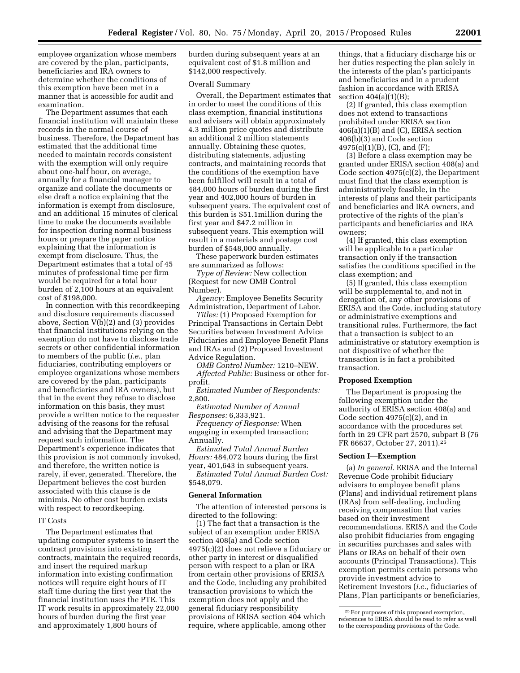employee organization whose members are covered by the plan, participants, beneficiaries and IRA owners to determine whether the conditions of this exemption have been met in a manner that is accessible for audit and examination.

The Department assumes that each financial institution will maintain these records in the normal course of business. Therefore, the Department has estimated that the additional time needed to maintain records consistent with the exemption will only require about one-half hour, on average, annually for a financial manager to organize and collate the documents or else draft a notice explaining that the information is exempt from disclosure, and an additional 15 minutes of clerical time to make the documents available for inspection during normal business hours or prepare the paper notice explaining that the information is exempt from disclosure. Thus, the Department estimates that a total of 45 minutes of professional time per firm would be required for a total hour burden of 2,100 hours at an equivalent cost of \$198,000.

In connection with this recordkeeping and disclosure requirements discussed above, Section V(b)(2) and (3) provides that financial institutions relying on the exemption do not have to disclose trade secrets or other confidential information to members of the public (*i.e.,* plan fiduciaries, contributing employers or employee organizations whose members are covered by the plan, participants and beneficiaries and IRA owners), but that in the event they refuse to disclose information on this basis, they must provide a written notice to the requester advising of the reasons for the refusal and advising that the Department may request such information. The Department's experience indicates that this provision is not commonly invoked, and therefore, the written notice is rarely, if ever, generated. Therefore, the Department believes the cost burden associated with this clause is de minimis. No other cost burden exists with respect to recordkeeping.

### IT Costs

The Department estimates that updating computer systems to insert the contract provisions into existing contracts, maintain the required records, and insert the required markup information into existing confirmation notices will require eight hours of IT staff time during the first year that the financial institution uses the PTE. This IT work results in approximately 22,000 hours of burden during the first year and approximately 1,800 hours of

burden during subsequent years at an equivalent cost of \$1.8 million and \$142,000 respectively.

## Overall Summary

Overall, the Department estimates that in order to meet the conditions of this class exemption, financial institutions and advisers will obtain approximately 4.3 million price quotes and distribute an additional 2 million statements annually. Obtaining these quotes, distributing statements, adjusting contracts, and maintaining records that the conditions of the exemption have been fulfilled will result in a total of 484,000 hours of burden during the first year and 402,000 hours of burden in subsequent years. The equivalent cost of this burden is \$51.1million during the first year and \$47.2 million in subsequent years. This exemption will result in a materials and postage cost burden of \$548,000 annually.

These paperwork burden estimates are summarized as follows:

*Type of Review:* New collection (Request for new OMB Control Number).

*Agency:* Employee Benefits Security Administration, Department of Labor.

*Titles:* (1) Proposed Exemption for Principal Transactions in Certain Debt Securities between Investment Advice Fiduciaries and Employee Benefit Plans and IRAs and (2) Proposed Investment Advice Regulation.

*OMB Control Number:* 1210–NEW. *Affected Public:* Business or other forprofit.

*Estimated Number of Respondents:*  2,800.

*Estimated Number of Annual Responses:* 6,333,921.

*Frequency of Response:* When engaging in exempted transaction; Annually.

*Estimated Total Annual Burden Hours:* 484,072 hours during the first year, 401,643 in subsequent years.

*Estimated Total Annual Burden Cost:*  \$548,079.

## **General Information**

The attention of interested persons is directed to the following:

(1) The fact that a transaction is the subject of an exemption under ERISA section 408(a) and Code section 4975(c)(2) does not relieve a fiduciary or other party in interest or disqualified person with respect to a plan or IRA from certain other provisions of ERISA and the Code, including any prohibited transaction provisions to which the exemption does not apply and the general fiduciary responsibility provisions of ERISA section 404 which require, where applicable, among other

things, that a fiduciary discharge his or her duties respecting the plan solely in the interests of the plan's participants and beneficiaries and in a prudent fashion in accordance with ERISA section 404(a)(1)(B);

(2) If granted, this class exemption does not extend to transactions prohibited under ERISA section 406(a)(1)(B) and (C), ERISA section 406(b)(3) and Code section  $4975(c)(1)(B)$ , (C), and (F);

(3) Before a class exemption may be granted under ERISA section 408(a) and Code section 4975(c)(2), the Department must find that the class exemption is administratively feasible, in the interests of plans and their participants and beneficiaries and IRA owners, and protective of the rights of the plan's participants and beneficiaries and IRA owners;

(4) If granted, this class exemption will be applicable to a particular transaction only if the transaction satisfies the conditions specified in the class exemption; and

(5) If granted, this class exemption will be supplemental to, and not in derogation of, any other provisions of ERISA and the Code, including statutory or administrative exemptions and transitional rules. Furthermore, the fact that a transaction is subject to an administrative or statutory exemption is not dispositive of whether the transaction is in fact a prohibited transaction.

### **Proposed Exemption**

The Department is proposing the following exemption under the authority of ERISA section 408(a) and Code section 4975(c)(2), and in accordance with the procedures set forth in 29 CFR part 2570, subpart B (76 FR 66637, October 27, 2011).25

### **Section I—Exemption**

(a) *In general.* ERISA and the Internal Revenue Code prohibit fiduciary advisers to employee benefit plans (Plans) and individual retirement plans (IRAs) from self-dealing, including receiving compensation that varies based on their investment recommendations. ERISA and the Code also prohibit fiduciaries from engaging in securities purchases and sales with Plans or IRAs on behalf of their own accounts (Principal Transactions). This exemption permits certain persons who provide investment advice to Retirement Investors (*i.e.,* fiduciaries of Plans, Plan participants or beneficiaries,

<sup>25</sup>For purposes of this proposed exemption, references to ERISA should be read to refer as well to the corresponding provisions of the Code.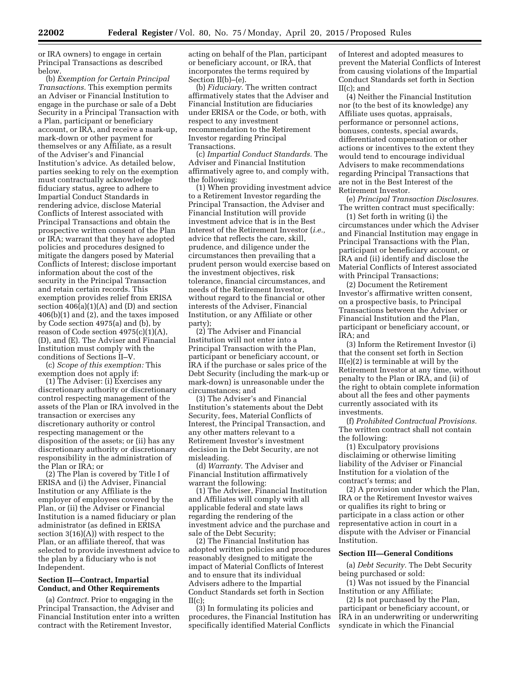or IRA owners) to engage in certain Principal Transactions as described below.

(b) *Exemption for Certain Principal Transactions.* This exemption permits an Adviser or Financial Institution to engage in the purchase or sale of a Debt Security in a Principal Transaction with a Plan, participant or beneficiary account, or IRA, and receive a mark-up, mark-down or other payment for themselves or any Affiliate, as a result of the Adviser's and Financial Institution's advice. As detailed below, parties seeking to rely on the exemption must contractually acknowledge fiduciary status, agree to adhere to Impartial Conduct Standards in rendering advice, disclose Material Conflicts of Interest associated with Principal Transactions and obtain the prospective written consent of the Plan or IRA; warrant that they have adopted policies and procedures designed to mitigate the dangers posed by Material Conflicts of Interest; disclose important information about the cost of the security in the Principal Transaction and retain certain records. This exemption provides relief from ERISA section  $406(a)(1)(A)$  and (D) and section 406(b)(1) and (2), and the taxes imposed by Code section 4975(a) and (b), by reason of Code section  $4975(c)(1)(A)$ , (D), and (E). The Adviser and Financial Institution must comply with the conditions of Sections II–V.

(c) *Scope of this exemption:* This exemption does not apply if:

(1) The Adviser: (i) Exercises any discretionary authority or discretionary control respecting management of the assets of the Plan or IRA involved in the transaction or exercises any discretionary authority or control respecting management or the disposition of the assets; or (ii) has any discretionary authority or discretionary responsibility in the administration of the Plan or IRA; or

(2) The Plan is covered by Title I of ERISA and (i) the Adviser, Financial Institution or any Affiliate is the employer of employees covered by the Plan, or (ii) the Adviser or Financial Institution is a named fiduciary or plan administrator (as defined in ERISA section  $3(16)(A)$ ) with respect to the Plan, or an affiliate thereof, that was selected to provide investment advice to the plan by a fiduciary who is not Independent.

# **Section II—Contract, Impartial Conduct, and Other Requirements**

(a) *Contract.* Prior to engaging in the Principal Transaction, the Adviser and Financial Institution enter into a written contract with the Retirement Investor,

acting on behalf of the Plan, participant or beneficiary account, or IRA, that incorporates the terms required by Section II(b)–(e).

(b) *Fiduciary.* The written contract affirmatively states that the Adviser and Financial Institution are fiduciaries under ERISA or the Code, or both, with respect to any investment recommendation to the Retirement Investor regarding Principal Transactions.

(c) *Impartial Conduct Standards.* The Adviser and Financial Institution affirmatively agree to, and comply with, the following:

(1) When providing investment advice to a Retirement Investor regarding the Principal Transaction, the Adviser and Financial Institution will provide investment advice that is in the Best Interest of the Retirement Investor (*i.e.,*  advice that reflects the care, skill, prudence, and diligence under the circumstances then prevailing that a prudent person would exercise based on the investment objectives, risk tolerance, financial circumstances, and needs of the Retirement Investor, without regard to the financial or other interests of the Adviser, Financial Institution, or any Affiliate or other party);

(2) The Adviser and Financial Institution will not enter into a Principal Transaction with the Plan, participant or beneficiary account, or IRA if the purchase or sales price of the Debt Security (including the mark-up or mark-down) is unreasonable under the circumstances; and

(3) The Adviser's and Financial Institution's statements about the Debt Security, fees, Material Conflicts of Interest, the Principal Transaction, and any other matters relevant to a Retirement Investor's investment decision in the Debt Security, are not misleading.

(d) *Warranty.* The Adviser and Financial Institution affirmatively warrant the following:

(1) The Adviser, Financial Institution and Affiliates will comply with all applicable federal and state laws regarding the rendering of the investment advice and the purchase and sale of the Debt Security;

(2) The Financial Institution has adopted written policies and procedures reasonably designed to mitigate the impact of Material Conflicts of Interest and to ensure that its individual Advisers adhere to the Impartial Conduct Standards set forth in Section  $II(c)$ :

(3) In formulating its policies and procedures, the Financial Institution has specifically identified Material Conflicts of Interest and adopted measures to prevent the Material Conflicts of Interest from causing violations of the Impartial Conduct Standards set forth in Section II(c); and

(4) Neither the Financial Institution nor (to the best of its knowledge) any Affiliate uses quotas, appraisals, performance or personnel actions, bonuses, contests, special awards, differentiated compensation or other actions or incentives to the extent they would tend to encourage individual Advisers to make recommendations regarding Principal Transactions that are not in the Best Interest of the Retirement Investor.

(e) *Principal Transaction Disclosures.*  The written contract must specifically:

(1) Set forth in writing (i) the circumstances under which the Adviser and Financial Institution may engage in Principal Transactions with the Plan, participant or beneficiary account, or IRA and (ii) identify and disclose the Material Conflicts of Interest associated with Principal Transactions;

(2) Document the Retirement Investor's affirmative written consent, on a prospective basis, to Principal Transactions between the Adviser or Financial Institution and the Plan, participant or beneficiary account, or IRA; and

(3) Inform the Retirement Investor (i) that the consent set forth in Section II(e)(2) is terminable at will by the Retirement Investor at any time, without penalty to the Plan or IRA, and (ii) of the right to obtain complete information about all the fees and other payments currently associated with its investments.

(f) *Prohibited Contractual Provisions.*  The written contract shall not contain the following:

(1) Exculpatory provisions disclaiming or otherwise limiting liability of the Adviser or Financial Institution for a violation of the contract's terms; and

(2) A provision under which the Plan, IRA or the Retirement Investor waives or qualifies its right to bring or participate in a class action or other representative action in court in a dispute with the Adviser or Financial Institution.

#### **Section III—General Conditions**

(a) *Debt Security.* The Debt Security being purchased or sold:

(1) Was not issued by the Financial Institution or any Affiliate;

(2) Is not purchased by the Plan, participant or beneficiary account, or IRA in an underwriting or underwriting syndicate in which the Financial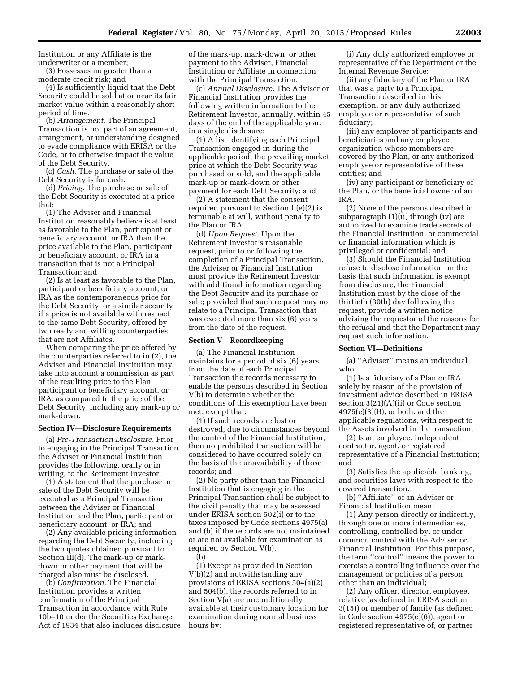Institution or any Affiliate is the underwriter or a member;

(3) Possesses no greater than a moderate credit risk; and

(4) Is sufficiently liquid that the Debt Security could be sold at or near its fair market value within a reasonably short period of time.

(b) *Arrangement.* The Principal Transaction is not part of an agreement, arrangement, or understanding designed to evade compliance with ERISA or the Code, or to otherwise impact the value of the Debt Security.

(c) *Cash.* The purchase or sale of the Debt Security is for cash.

(d) *Pricing.* The purchase or sale of the Debt Security is executed at a price that:

(1) The Adviser and Financial Institution reasonably believe is at least as favorable to the Plan, participant or beneficiary account, or IRA than the price available to the Plan, participant or beneficiary account, or IRA in a transaction that is not a Principal Transaction; and

(2) Is at least as favorable to the Plan, participant or beneficiary account, or IRA as the contemporaneous price for the Debt Security, or a similar security if a price is not available with respect to the same Debt Security, offered by two ready and willing counterparties that are not Affiliates.

When comparing the price offered by the counterparties referred to in (2), the Adviser and Financial Institution may take into account a commission as part of the resulting price to the Plan, participant or beneficiary account, or IRA, as compared to the price of the Debt Security, including any mark-up or mark-down.

#### **Section IV—Disclosure Requirements**

(a) *Pre-Transaction Disclosure.* Prior to engaging in the Principal Transaction, the Adviser or Financial Institution provides the following, orally or in writing, to the Retirement Investor:

(1) A statement that the purchase or sale of the Debt Security will be executed as a Principal Transaction between the Adviser or Financial Institution and the Plan, participant or beneficiary account, or IRA; and

(2) Any available pricing information regarding the Debt Security, including the two quotes obtained pursuant to Section III(d). The mark-up or markdown or other payment that will be charged also must be disclosed.

(b) *Confirmation.* The Financial Institution provides a written confirmation of the Principal Transaction in accordance with Rule 10b–10 under the Securities Exchange Act of 1934 that also includes disclosure of the mark-up, mark-down, or other payment to the Adviser, Financial Institution or Affiliate in connection with the Principal Transaction.

(c) *Annual Disclosure.* The Adviser or Financial Institution provides the following written information to the Retirement Investor, annually, within 45 days of the end of the applicable year, in a single disclosure:

(1) A list identifying each Principal Transaction engaged in during the applicable period, the prevailing market price at which the Debt Security was purchased or sold, and the applicable mark-up or mark-down or other payment for each Debt Security; and

(2) A statement that the consent required pursuant to Section  $II(e)(2)$  is terminable at will, without penalty to the Plan or IRA.

(d) *Upon Request.* Upon the Retirement Investor's reasonable request, prior to or following the completion of a Principal Transaction, the Adviser or Financial Institution must provide the Retirement Investor with additional information regarding the Debt Security and its purchase or sale; provided that such request may not relate to a Principal Transaction that was executed more than six (6) years from the date of the request.

## **Section V—Recordkeeping**

(a) The Financial Institution maintains for a period of six (6) years from the date of each Principal Transaction the records necessary to enable the persons described in Section V(b) to determine whether the conditions of this exemption have been met, except that:

(1) If such records are lost or destroyed, due to circumstances beyond the control of the Financial Institution, then no prohibited transaction will be considered to have occurred solely on the basis of the unavailability of those records; and

(2) No party other than the Financial Institution that is engaging in the Principal Transaction shall be subject to the civil penalty that may be assessed under ERISA section 502(i) or to the taxes imposed by Code sections 4975(a) and (b) if the records are not maintained or are not available for examination as required by Section V(b).

(b)

(1) Except as provided in Section V(b)(2) and notwithstanding any provisions of ERISA sections 504(a)(2) and 504(b), the records referred to in Section V(a) are unconditionally available at their customary location for examination during normal business hours by:

(i) Any duly authorized employee or representative of the Department or the Internal Revenue Service;

(ii) any fiduciary of the Plan or IRA that was a party to a Principal Transaction described in this exemption, or any duly authorized employee or representative of such fiduciary;

(iii) any employer of participants and beneficiaries and any employee organization whose members are covered by the Plan, or any authorized employee or representative of these entities; and

(iv) any participant or beneficiary of the Plan, or the beneficial owner of an IRA.

(2) None of the persons described in subparagraph (1)(ii) through (iv) are authorized to examine trade secrets of the Financial Institution, or commercial or financial information which is privileged or confidential; and

(3) Should the Financial Institution refuse to disclose information on the basis that such information is exempt from disclosure, the Financial Institution must by the close of the thirtieth (30th) day following the request, provide a written notice advising the requestor of the reasons for the refusal and that the Department may request such information.

#### **Section VI—Definitions**

(a) ''Adviser'' means an individual who:

(1) Is a fiduciary of a Plan or IRA solely by reason of the provision of investment advice described in ERISA section 3(21)(A)(ii) or Code section 4975(e)(3)(B), or both, and the applicable regulations, with respect to the Assets involved in the transaction;

(2) Is an employee, independent contractor, agent, or registered representative of a Financial Institution; and

(3) Satisfies the applicable banking, and securities laws with respect to the covered transaction.

(b) ''Affiliate'' of an Adviser or Financial Institution mean:

(1) Any person directly or indirectly, through one or more intermediaries, controlling, controlled by, or under common control with the Adviser or Financial Institution. For this purpose, the term ''control'' means the power to exercise a controlling influence over the management or policies of a person other than an individual;

(2) Any officer, director, employee, relative (as defined in ERISA section 3(15)) or member of family (as defined in Code section 4975(e)(6)), agent or registered representative of, or partner